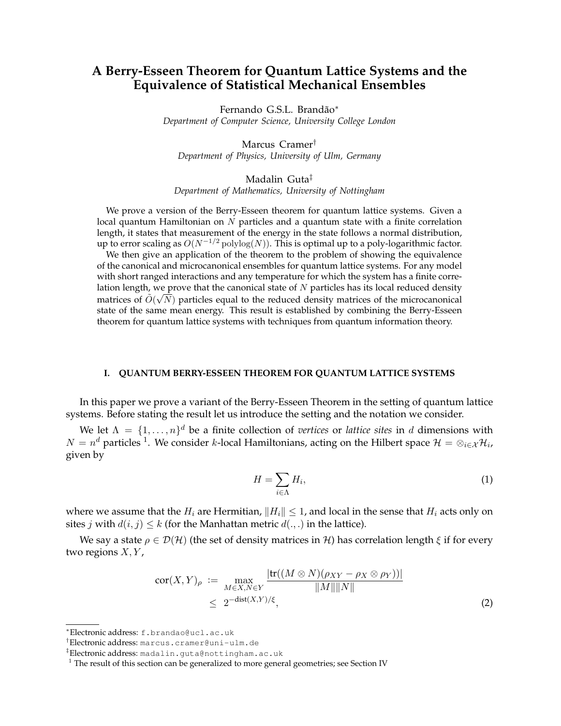# **A Berry-Esseen Theorem for Quantum Lattice Systems and the Equivalence of Statistical Mechanical Ensembles**

Fernando G.S.L. Brandão<sup>\*</sup> *Department of Computer Science, University College London*

Marcus Cramer† *Department of Physics, University of Ulm, Germany*

Madalin Guta‡ *Department of Mathematics, University of Nottingham*

We prove a version of the Berry-Esseen theorem for quantum lattice systems. Given a local quantum Hamiltonian on  $\dot{N}$  particles and a quantum state with a finite correlation length, it states that measurement of the energy in the state follows a normal distribution, up to error scaling as  $O(N^{-1/2} \text{polylog}(N))$ . This is optimal up to a poly-logarithmic factor.

We then give an application of the theorem to the problem of showing the equivalence of the canonical and microcanonical ensembles for quantum lattice systems. For any model with short ranged interactions and any temperature for which the system has a finite correlation length, we prove that the canonical state of  $N$  particles has its local reduced density matrices of  $\tilde{O}(\sqrt{N})$  particles equal to the reduced density matrices of the microcanonical state of the same mean energy. This result is established by combining the Berry-Esseen theorem for quantum lattice systems with techniques from quantum information theory.

#### **I. QUANTUM BERRY-ESSEEN THEOREM FOR QUANTUM LATTICE SYSTEMS**

In this paper we prove a variant of the Berry-Esseen Theorem in the setting of quantum lattice systems. Before stating the result let us introduce the setting and the notation we consider.

We let  $\Lambda = \{1, \ldots, n\}^d$  be a finite collection of *vertices* or *lattice sites* in d dimensions with  $N=n^d$  particles <sup>1</sup>. We consider *k*-local Hamiltonians, acting on the Hilbert space  $\mathcal{H}=\otimes_{i\in\mathcal{X}}\mathcal{H}_i$ , given by

$$
H = \sum_{i \in \Lambda} H_i,\tag{1}
$$

where we assume that the  $H_i$  are Hermitian,  $||H_i|| \leq 1$ , and local in the sense that  $H_i$  acts only on sites *j* with  $d(i, j) \leq k$  (for the Manhattan metric  $d(.,.)$  in the lattice).

We say a state  $\rho \in \mathcal{D}(\mathcal{H})$  (the set of density matrices in H) has correlation length  $\xi$  if for every two regions  $X, Y$ ,

$$
\operatorname{cor}(X, Y)_{\rho} := \max_{M \in X, N \in Y} \frac{|\operatorname{tr}((M \otimes N)(\rho_{XY} - \rho_X \otimes \rho_Y))|}{\|M\| \|N\|}
$$
  
\$\leq 2^{-\operatorname{dist}(X, Y)/\xi}\$, \tag{2}

<sup>∗</sup>Electronic address: f.brandao@ucl.ac.uk

<sup>†</sup>Electronic address: marcus.cramer@uni-ulm.de

<sup>‡</sup>Electronic address: madalin.guta@nottingham.ac.uk

 $1$  The result of this section can be generalized to more general geometries; see Section IV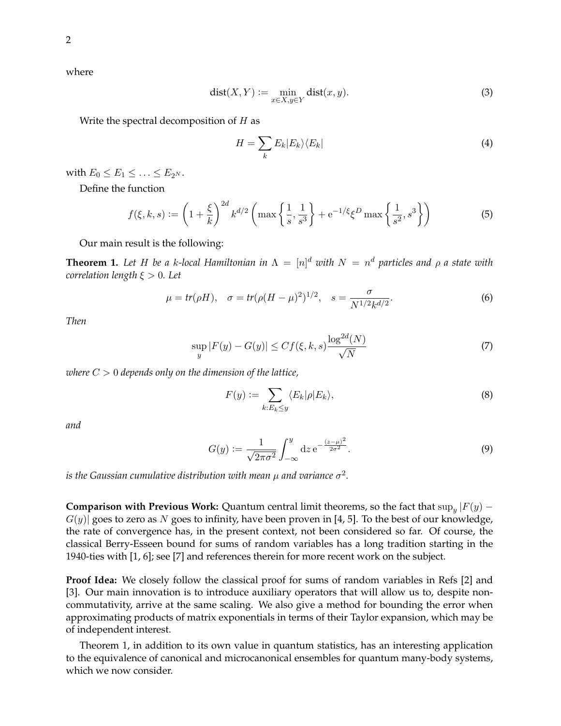where

$$
dist(X, Y) := \min_{x \in X, y \in Y} dist(x, y).
$$
\n(3)

Write the spectral decomposition of  $H$  as

$$
H = \sum_{k} E_{k} |E_{k}\rangle\langle E_{k}| \tag{4}
$$

with  $E_0 \leq E_1 \leq \ldots \leq E_{2^N}$ .

Define the function

$$
f(\xi, k, s) := \left(1 + \frac{\xi}{k}\right)^{2d} k^{d/2} \left(\max\left\{\frac{1}{s}, \frac{1}{s^3}\right\} + e^{-1/\xi} \xi^D \max\left\{\frac{1}{s^2}, s^3\right\}\right) \tag{5}
$$

Our main result is the following:

**Theorem 1.** Let H be a k-local Hamiltonian in  $\Lambda = [n]^d$  with  $N = n^d$  particles and  $\rho$  a state with *correlation length* ξ > 0*. Let*

$$
\mu = tr(\rho H), \quad \sigma = tr(\rho (H - \mu)^2)^{1/2}, \quad s = \frac{\sigma}{N^{1/2} k^{d/2}}.
$$
 (6)

*Then*

$$
\sup_{y} |F(y) - G(y)| \le Cf(\xi, k, s) \frac{\log^{2d}(N)}{\sqrt{N}} \tag{7}
$$

*where* C > 0 *depends only on the dimension of the lattice,*

$$
F(y) := \sum_{k: E_k \le y} \langle E_k | \rho | E_k \rangle,\tag{8}
$$

*and*

$$
G(y) := \frac{1}{\sqrt{2\pi\sigma^2}} \int_{-\infty}^{y} dz \, e^{-\frac{(z-\mu)^2}{2\sigma^2}}.
$$
 (9)

is the Gaussian cumulative distribution with mean  $\mu$  and variance  $\sigma^2.$ 

**Comparison with Previous Work:** Quantum central limit theorems, so the fact that  $\sup_y |F(y) - F(y)|$  $G(y)$  goes to zero as N goes to infinity, have been proven in [4, 5]. To the best of our knowledge, the rate of convergence has, in the present context, not been considered so far. Of course, the classical Berry-Esseen bound for sums of random variables has a long tradition starting in the 1940-ties with [1, 6]; see [7] and references therein for more recent work on the subject.

**Proof Idea:** We closely follow the classical proof for sums of random variables in Refs [2] and [3]. Our main innovation is to introduce auxiliary operators that will allow us to, despite noncommutativity, arrive at the same scaling. We also give a method for bounding the error when approximating products of matrix exponentials in terms of their Taylor expansion, which may be of independent interest.

Theorem 1, in addition to its own value in quantum statistics, has an interesting application to the equivalence of canonical and microcanonical ensembles for quantum many-body systems, which we now consider.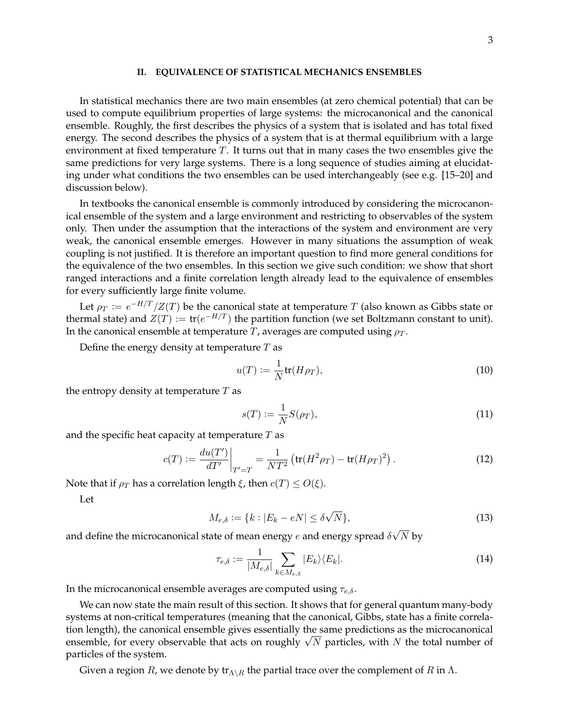#### **II. EQUIVALENCE OF STATISTICAL MECHANICS ENSEMBLES**

In statistical mechanics there are two main ensembles (at zero chemical potential) that can be used to compute equilibrium properties of large systems: the microcanonical and the canonical ensemble. Roughly, the first describes the physics of a system that is isolated and has total fixed energy. The second describes the physics of a system that is at thermal equilibrium with a large environment at fixed temperature  $T$ . It turns out that in many cases the two ensembles give the same predictions for very large systems. There is a long sequence of studies aiming at elucidating under what conditions the two ensembles can be used interchangeably (see e.g. [15–20] and discussion below).

In textbooks the canonical ensemble is commonly introduced by considering the microcanonical ensemble of the system and a large environment and restricting to observables of the system only. Then under the assumption that the interactions of the system and environment are very weak, the canonical ensemble emerges. However in many situations the assumption of weak coupling is not justified. It is therefore an important question to find more general conditions for the equivalence of the two ensembles. In this section we give such condition: we show that short ranged interactions and a finite correlation length already lead to the equivalence of ensembles for every sufficiently large finite volume.

Let  $\rho_T := e^{-H/T}/Z(T)$  be the canonical state at temperature  $T$  (also known as Gibbs state or thermal state) and  $Z(T) := \text{tr}(e^{-H/T})$  the partition function (we set Boltzmann constant to unit). In the canonical ensemble at temperature  $T$ , averages are computed using  $\rho_T$ .

Define the energy density at temperature  $T$  as

$$
u(T) := \frac{1}{N} \text{tr}(H\rho_T),\tag{10}
$$

the entropy density at temperature  $T$  as

$$
s(T) := \frac{1}{N} S(\rho_T),\tag{11}
$$

and the specific heat capacity at temperature  $T$  as

$$
c(T) := \frac{du(T')}{dT'}\bigg|_{T'=T} = \frac{1}{NT^2} \left( \text{tr}(H^2 \rho_T) - \text{tr}(H \rho_T)^2 \right). \tag{12}
$$

Note that if  $\rho_T$  has a correlation length  $\xi$ , then  $c(T) \leq O(\xi)$ .

Let

$$
M_{e,\delta} := \{k : |E_k - eN| \le \delta\sqrt{N}\},\tag{13}
$$

and define the microcanonical state of mean energy  $e$  and energy spread  $\delta$  $N$  by

$$
\tau_{e,\delta} := \frac{1}{|M_{e,\delta}|} \sum_{k \in M_{e,\delta}} |E_k\rangle \langle E_k|.
$$
\n(14)

In the microcanonical ensemble averages are computed using  $\tau_{e,\delta}$ .

We can now state the main result of this section. It shows that for general quantum many-body systems at non-critical temperatures (meaning that the canonical, Gibbs, state has a finite correlation length), the canonical ensemble gives essentially the same predictions as the microcanonical tion length), the canonical ensemble gives essentially the same predictions as the microcanonical<br>ensemble, for every observable that acts on roughly  $\sqrt{N}$  particles, with N the total number of particles of the system.

Given a region  $R$ , we denote by  ${\rm tr}_{\Lambda\setminus R}$  the partial trace over the complement of  $R$  in  $\Lambda$ .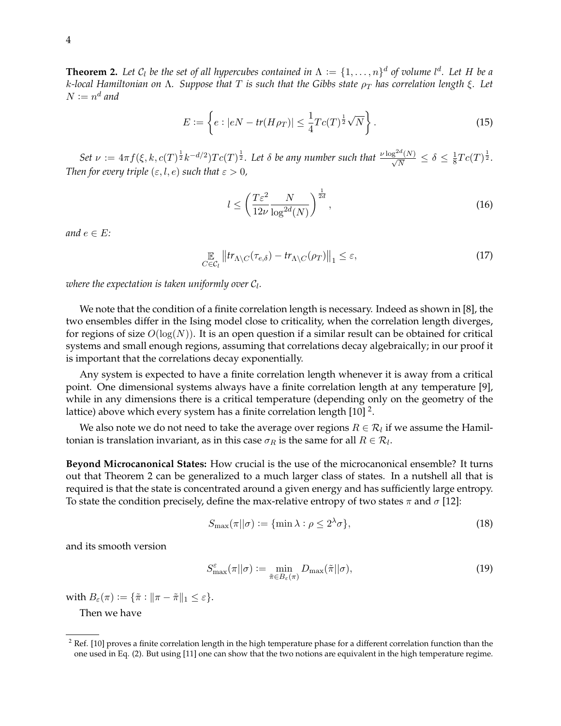**Theorem 2.** Let  $C_l$  be the set of all hypercubes contained in  $\Lambda := \{1, \ldots, n\}^d$  of volume  $l^d$ . Let H be a *k*-local Hamiltonian on Λ. Suppose that T is such that the Gibbs state  $ρ<sub>T</sub>$  has correlation length  $ξ$ . Let  $N := n^d$  and

$$
E := \left\{ e : |eN - tr(H\rho_T)| \le \frac{1}{4} T c(T)^{\frac{1}{2}} \sqrt{N} \right\}.
$$
 (15)

Set  $\nu := 4\pi f(\xi, k, c(T)^{\frac{1}{2}}k^{-d/2})Tc(T)^{\frac{1}{2}}$ . Let  $\delta$  be any number such that  $\frac{\nu \log^{2d}(N)}{\sqrt{N}} \leq \delta \leq \frac{1}{8}$  $\frac{1}{8}Tc(T)^{\frac{1}{2}}.$ *Then for every triple*  $(\varepsilon, l, e)$  *such that*  $\varepsilon > 0$ *,* 

$$
l \le \left(\frac{T\varepsilon^2}{12\nu} \frac{N}{\log^{2d}(N)}\right)^{\frac{1}{2d}},\tag{16}
$$

*and*  $e \in E$ *:* 

$$
\mathop{\mathbb{E}}_{C \in \mathcal{C}_l} \left\| \operatorname{tr}_{\Lambda \setminus C}(\tau_{e,\delta}) - \operatorname{tr}_{\Lambda \setminus C}(\rho_T) \right\|_1 \leq \varepsilon,\tag{17}
$$

where the expectation is taken uniformly over  $\mathcal{C}_l.$ 

We note that the condition of a finite correlation length is necessary. Indeed as shown in [8], the two ensembles differ in the Ising model close to criticality, when the correlation length diverges, for regions of size  $O(log(N))$ . It is an open question if a similar result can be obtained for critical systems and small enough regions, assuming that correlations decay algebraically; in our proof it is important that the correlations decay exponentially.

Any system is expected to have a finite correlation length whenever it is away from a critical point. One dimensional systems always have a finite correlation length at any temperature [9], while in any dimensions there is a critical temperature (depending only on the geometry of the lattice) above which every system has a finite correlation length [10]  $^2$ .

We also note we do not need to take the average over regions  $R \in \mathcal{R}_l$  if we assume the Hamiltonian is translation invariant, as in this case  $\sigma_R$  is the same for all  $R \in \mathcal{R}_l$ .

**Beyond Microcanonical States:** How crucial is the use of the microcanonical ensemble? It turns out that Theorem 2 can be generalized to a much larger class of states. In a nutshell all that is required is that the state is concentrated around a given energy and has sufficiently large entropy. To state the condition precisely, define the max-relative entropy of two states  $\pi$  and  $\sigma$  [12]:

$$
S_{\max}(\pi||\sigma) := \{\min \lambda : \rho \le 2^{\lambda}\sigma\},\tag{18}
$$

and its smooth version

$$
S_{\max}^{\varepsilon}(\pi||\sigma) := \min_{\tilde{\pi} \in B_{\varepsilon}(\pi)} D_{\max}(\tilde{\pi}||\sigma), \tag{19}
$$

with  $B_{\varepsilon}(\pi) := {\{\tilde{\pi} : \|\pi - \tilde{\pi}\|_1 \leq \varepsilon\}}.$ 

Then we have

 $2$  Ref. [10] proves a finite correlation length in the high temperature phase for a different correlation function than the one used in Eq. (2). But using [11] one can show that the two notions are equivalent in the high temperature regime.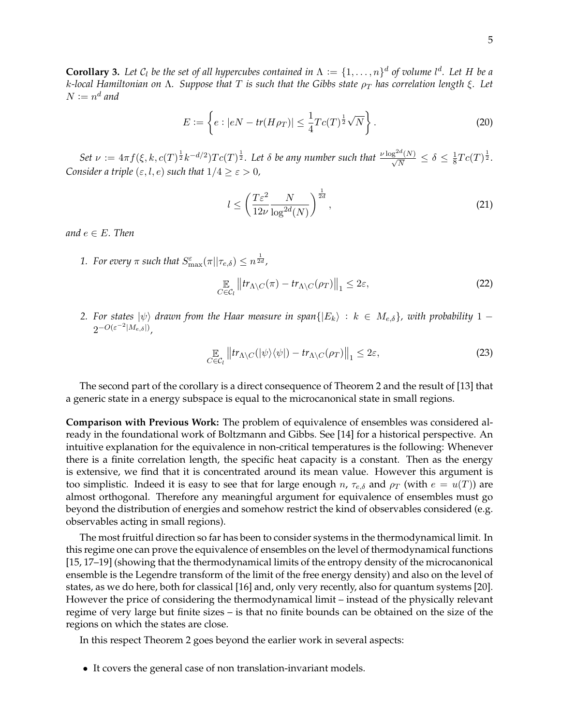**Corollary 3.** Let  $C_l$  be the set of all hypercubes contained in  $\Lambda := \{1, \ldots, n\}^d$  of volume  $l^d$ . Let H be a *k*-local Hamiltonian on Λ. Suppose that T is such that the Gibbs state  $ρ<sub>T</sub>$  has correlation length  $ξ$ . Let  $N := n^d$  and

$$
E := \left\{ e : |eN - tr(H\rho_T)| \le \frac{1}{4} T c(T)^{\frac{1}{2}} \sqrt{N} \right\}.
$$
 (20)

Set  $\nu := 4\pi f(\xi, k, c(T)^{\frac{1}{2}}k^{-d/2})Tc(T)^{\frac{1}{2}}$ . Let  $\delta$  be any number such that  $\frac{\nu \log^{2d}(N)}{\sqrt{N}} \leq \delta \leq \frac{1}{8}$  $\frac{1}{8}Tc(T)^{\frac{1}{2}}.$ *Consider a triple*  $(\varepsilon, l, e)$  *such that*  $1/4 \geq \varepsilon > 0$ *,* 

$$
l \le \left(\frac{T\varepsilon^2}{12\nu} \frac{N}{\log^{2d}(N)}\right)^{\frac{1}{2d}},\tag{21}
$$

*and*  $e \in E$ *. Then* 

1. For every  $\pi$  such that  $S_{\text{max}}^{\varepsilon}(\pi||\tau_{e,\delta}) \leq n^{\frac{1}{2d}}$ ,

$$
\mathop{\mathbb{E}}_{C \in \mathcal{C}_l} \left\| \operatorname{tr}_{\Lambda \setminus C}(\pi) - \operatorname{tr}_{\Lambda \setminus C}(\rho_T) \right\|_1 \leq 2\varepsilon,\tag{22}
$$

*2.* For states  $|\psi\rangle$  drawn from the Haar measure in span $\{|E_k\rangle : k \in M_{e,\delta}\}\$ , with probability 1 −  $2^{-O(\varepsilon^{-2}|M_{e,\delta}|)},$ 

$$
\mathop{\mathbb{E}}_{C \in \mathcal{C}_l} \left\| \operatorname{tr}_{\Lambda \setminus C} (|\psi\rangle \langle \psi|) - \operatorname{tr}_{\Lambda \setminus C} (\rho_T) \right\|_1 \leq 2\varepsilon,\tag{23}
$$

The second part of the corollary is a direct consequence of Theorem 2 and the result of [13] that a generic state in a energy subspace is equal to the microcanonical state in small regions.

**Comparison with Previous Work:** The problem of equivalence of ensembles was considered already in the foundational work of Boltzmann and Gibbs. See [14] for a historical perspective. An intuitive explanation for the equivalence in non-critical temperatures is the following: Whenever there is a finite correlation length, the specific heat capacity is a constant. Then as the energy is extensive, we find that it is concentrated around its mean value. However this argument is too simplistic. Indeed it is easy to see that for large enough n,  $\tau_{e,\delta}$  and  $\rho_T$  (with  $e = u(T)$ ) are almost orthogonal. Therefore any meaningful argument for equivalence of ensembles must go beyond the distribution of energies and somehow restrict the kind of observables considered (e.g. observables acting in small regions).

The most fruitful direction so far has been to consider systems in the thermodynamical limit. In this regime one can prove the equivalence of ensembles on the level of thermodynamical functions [15, 17–19] (showing that the thermodynamical limits of the entropy density of the microcanonical ensemble is the Legendre transform of the limit of the free energy density) and also on the level of states, as we do here, both for classical [16] and, only very recently, also for quantum systems [20]. However the price of considering the thermodynamical limit – instead of the physically relevant regime of very large but finite sizes – is that no finite bounds can be obtained on the size of the regions on which the states are close.

In this respect Theorem 2 goes beyond the earlier work in several aspects:

• It covers the general case of non translation-invariant models.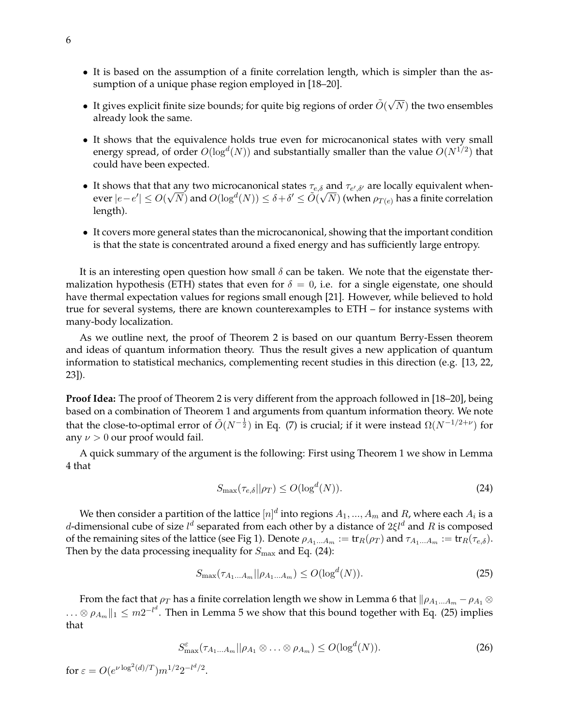- It is based on the assumption of a finite correlation length, which is simpler than the assumption of a unique phase region employed in [18–20].
- It gives explicit finite size bounds; for quite big regions of order  $\tilde{O}(\sqrt{2})$  $(N)$  the two ensembles already look the same.
- It shows that the equivalence holds true even for microcanonical states with very small energy spread, of order  $O(\log^d(N))$  and substantially smaller than the value  $O(N^{1/2})$  that could have been expected.
- It shows that that any two microcanonical states  $\tau_{e,\delta}$  and  $\tau_{e',\delta'}$  are locally equivalent whenever  $|e-e'|\leq O(\sqrt{N})$  and  $O(\log^d(N))\leq \delta+\delta'\leq \tilde O(\sqrt{N})$  (when  $\rho_{T(e)}$  has a finite correlation length).
- It covers more general states than the microcanonical, showing that the important condition is that the state is concentrated around a fixed energy and has sufficiently large entropy.

It is an interesting open question how small  $\delta$  can be taken. We note that the eigenstate thermalization hypothesis (ETH) states that even for  $\delta = 0$ , i.e. for a single eigenstate, one should have thermal expectation values for regions small enough [21]. However, while believed to hold true for several systems, there are known counterexamples to ETH – for instance systems with many-body localization.

As we outline next, the proof of Theorem 2 is based on our quantum Berry-Essen theorem and ideas of quantum information theory. Thus the result gives a new application of quantum information to statistical mechanics, complementing recent studies in this direction (e.g. [13, 22, 23]).

**Proof Idea:** The proof of Theorem 2 is very different from the approach followed in [18–20], being based on a combination of Theorem 1 and arguments from quantum information theory. We note that the close-to-optimal error of  $\tilde{O}(N^{-\frac{1}{2}})$  in Eq. (7) is crucial; if it were instead  $\Omega(N^{-1/2+\nu})$  for any  $\nu > 0$  our proof would fail.

A quick summary of the argument is the following: First using Theorem 1 we show in Lemma 4 that

$$
S_{\max}(\tau_{e,\delta}||\rho_T) \le O(\log^d(N)).\tag{24}
$$

We then consider a partition of the lattice  $[n]^d$  into regions  $A_1,...,A_m$  and  $R$ , where each  $A_i$  is a d-dimensional cube of size  $l^d$  separated from each other by a distance of  $2\xi l^d$  and  $R$  is composed of the remaining sites of the lattice (see Fig 1). Denote  $\rho_{A_1...A_m} := \text{tr}_R(\rho_T)$  and  $\tau_{A_1...A_m} := \text{tr}_R(\tau_{e,\delta})$ . Then by the data processing inequality for  $S_{\text{max}}$  and Eq. (24):

$$
S_{\max}(\tau_{A_1...A_m}||\rho_{A_1...A_m}) \le O(\log^d(N)).\tag{25}
$$

From the fact that  $\rho_T$  has a finite correlation length we show in Lemma 6 that  $\|\rho_{A_1...A_m} - \rho_{A_1} \otimes$  $\ldots\otimes\rho_{A_m}\|_1\leq m2^{-l^d}.$  Then in Lemma 5 we show that this bound together with Eq. (25) implies that

$$
S_{\max}^{\varepsilon}(\tau_{A_1\ldots A_m}||\rho_{A_1}\otimes\ldots\otimes\rho_{A_m})\leq O(\log^d(N)).\tag{26}
$$

for  $\varepsilon = O(e^{\nu \log^2(d)/T}) m^{1/2} 2^{-l^d/2}$ .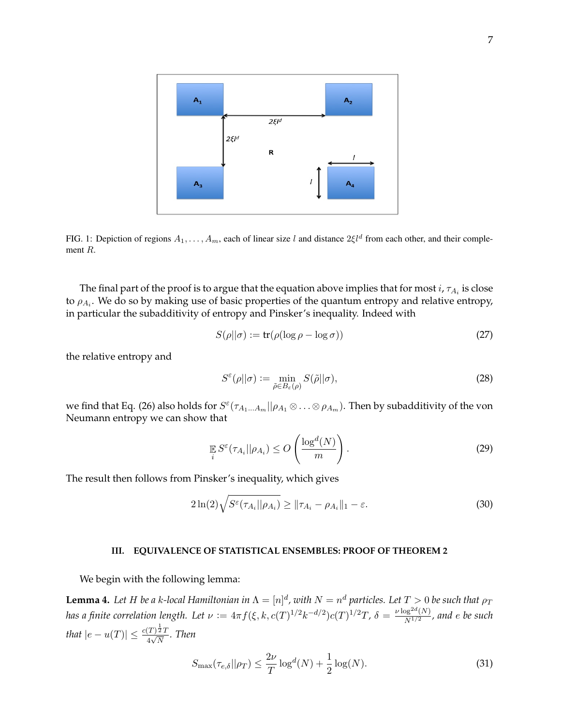

FIG. 1: Depiction of regions  $A_1, \ldots, A_m$ , each of linear size l and distance  $2\xi l^d$  from each other, and their complement R.

The final part of the proof is to argue that the equation above implies that for most  $i$ ,  $\tau_{A_i}$  is close to  $\rho_{A_i}$ . We do so by making use of basic properties of the quantum entropy and relative entropy, in particular the subadditivity of entropy and Pinsker's inequality. Indeed with

$$
S(\rho||\sigma) := \text{tr}(\rho(\log \rho - \log \sigma))
$$
\n(27)

the relative entropy and

$$
S^{\varepsilon}(\rho||\sigma) := \min_{\tilde{\rho} \in B_{\varepsilon}(\rho)} S(\tilde{\rho}||\sigma),
$$
\n(28)

we find that Eq. (26) also holds for  $S^\varepsilon(\tau_{A_1...A_m}||\rho_{A_1}\otimes\ldots\otimes\rho_{A_m})$ . Then by subadditivity of the von Neumann entropy we can show that

$$
\mathbb{E}\limits_{i} S^{\varepsilon}(\tau_{A_i}||\rho_{A_i}) \le O\left(\frac{\log^d(N)}{m}\right). \tag{29}
$$

The result then follows from Pinsker's inequality, which gives

$$
2\ln(2)\sqrt{S^{\varepsilon}(\tau_{A_i}||\rho_{A_i})} \ge ||\tau_{A_i} - \rho_{A_i}||_1 - \varepsilon.
$$
\n(30)

### **III. EQUIVALENCE OF STATISTICAL ENSEMBLES: PROOF OF THEOREM 2**

We begin with the following lemma:

**Lemma 4.** Let H be a k-local Hamiltonian in  $\Lambda = [n]^d$ , with  $N = n^d$  particles. Let  $T > 0$  be such that  $\rho_T$ *has a finite correlation length. Let*  $\nu := 4\pi f(\xi, k, c(T)^{1/2}k^{-d/2})c(T)^{1/2}T$ ,  $\delta = \frac{\nu \log^{2d}(N)}{N^{1/2}}$  $\frac{\log^{2}e^{-\left(N\right)}}{N^{1/2}}$ , and e be such *that*  $|e - u(T)| \leq \frac{c(T)^{\frac{1}{2}}T}{4\sqrt{N}}$  $\frac{(1)^2 I}{4\sqrt{N}}$ . Then

$$
S_{\max}(\tau_{e,\delta}||\rho_T) \le \frac{2\nu}{T} \log^d(N) + \frac{1}{2} \log(N). \tag{31}
$$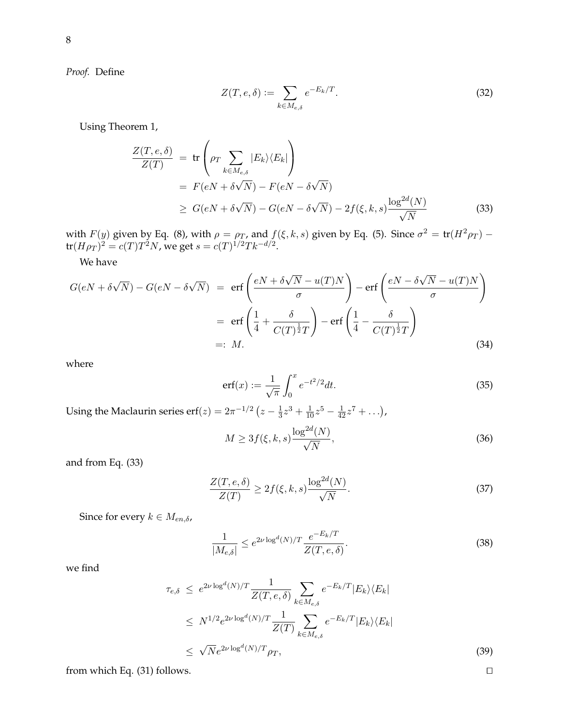*Proof.* Define

$$
Z(T, e, \delta) := \sum_{k \in M_{e, \delta}} e^{-E_k/T}.
$$
\n(32)

Using Theorem 1,

$$
\frac{Z(T, e, \delta)}{Z(T)} = \text{tr}\left(\rho_T \sum_{k \in M_{e,\delta}} |E_k\rangle \langle E_k|\right)
$$
  
=  $F(eN + \delta\sqrt{N}) - F(eN - \delta\sqrt{N})$   
 $\ge G(eN + \delta\sqrt{N}) - G(eN - \delta\sqrt{N}) - 2f(\xi, k, s) \frac{\log^{2d}(N)}{\sqrt{N}}$  (33)

with  $F(y)$  given by Eq. (8), with  $\rho = \rho_T$ , and  $f(\xi, k, s)$  given by Eq. (5). Since  $\sigma^2 = \text{tr}(H^2 \rho_T)$  –  $tr(H\rho_T)^2 = c(T)T^2N$ , we get  $s = c(T)^{1/2}Tk^{-d/2}$ .

We have

$$
G(eN + \delta\sqrt{N}) - G(eN - \delta\sqrt{N}) = \text{erf}\left(\frac{eN + \delta\sqrt{N} - u(T)N}{\sigma}\right) - \text{erf}\left(\frac{eN - \delta\sqrt{N} - u(T)N}{\sigma}\right)
$$

$$
= \text{erf}\left(\frac{1}{4} + \frac{\delta}{C(T)^{\frac{1}{2}}T}\right) - \text{erf}\left(\frac{1}{4} - \frac{\delta}{C(T)^{\frac{1}{2}}T}\right)
$$

$$
=: M.
$$
(34)

where

$$
erf(x) := \frac{1}{\sqrt{\pi}} \int_0^x e^{-t^2/2} dt.
$$
 (35)

Using the Maclaurin series erf $(z) = 2\pi^{-1/2} (z - \frac{1}{3})$  $\frac{1}{3}z^3 + \frac{1}{10}z^5 - \frac{1}{42}z^7 + \ldots$ 

$$
M \ge 3f(\xi, k, s) \frac{\log^{2d}(N)}{\sqrt{N}},\tag{36}
$$

and from Eq. (33)

$$
\frac{Z(T,e,\delta)}{Z(T)} \ge 2f(\xi,k,s)\frac{\log^{2d}(N)}{\sqrt{N}}.\tag{37}
$$

Since for every  $k \in M_{en,\delta}$ ,

$$
\frac{1}{|M_{e,\delta}|} \le e^{2\nu \log^d(N)/T} \frac{e^{-E_k/T}}{Z(T,e,\delta)}.
$$
\n(38)

we find

$$
\tau_{e,\delta} \le e^{2\nu \log^d(N)/T} \frac{1}{Z(T,e,\delta)} \sum_{k \in M_{e,\delta}} e^{-E_k/T} |E_k\rangle \langle E_k|
$$
  
\n
$$
\le N^{1/2} e^{2\nu \log^d(N)/T} \frac{1}{Z(T)} \sum_{k \in M_{e,\delta}} e^{-E_k/T} |E_k\rangle \langle E_k|
$$
  
\n
$$
\le \sqrt{N} e^{2\nu \log^d(N)/T} \rho_T,
$$
\n(39)

from which Eq. (31) follows.  $\square$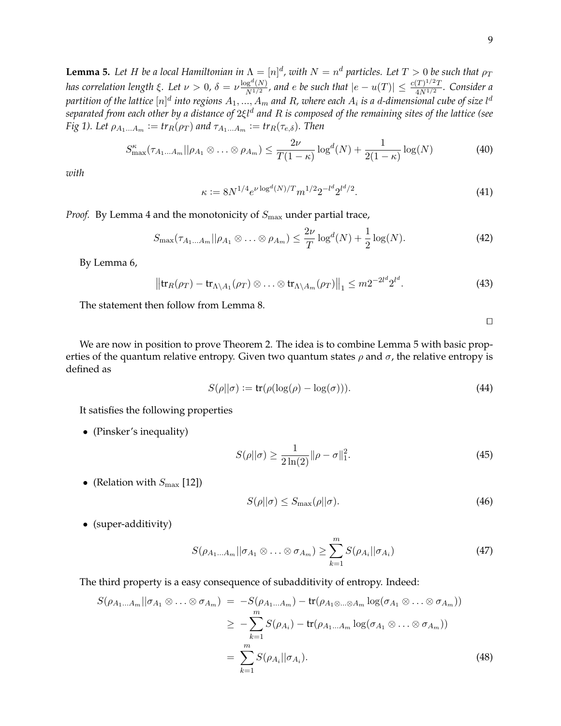**Lemma 5.** Let H be a local Hamiltonian in  $\Lambda = [n]^d$ , with  $N = n^d$  particles. Let  $T > 0$  be such that  $\rho_T$ *has correlation length*  $\xi$ . Let  $\nu > 0$ ,  $\delta = \nu \frac{\log^d(N)}{N^{1/2}}$  $\frac{\log^{d}(N)}{N^{1/2}}$ , and e be such that  $|e - u(T)| \leq \frac{c(T)^{1/2}T}{4N^{1/2}}$  $\frac{(1)^n (1)}{4N^{1/2}}$ . Consider a partition of the lattice  $[n]^d$  into regions  $A_1,...,A_m$  and  $R$ , where each  $A_i$  is a d-dimensional cube of size l $^d$ *separated from each other by a distance of* 2ξl<sup>d</sup> *and* R *is composed of the remaining sites of the lattice (see Fig 1). Let*  $\rho_{A_1...A_m} := tr_R(\rho_T)$  *and*  $\tau_{A_1...A_m} := tr_R(\tau_{e,\delta})$ *. Then* 

$$
S_{\max}^{\kappa}(\tau_{A_1\ldots A_m}||\rho_{A_1}\otimes\ldots\otimes\rho_{A_m})\leq \frac{2\nu}{T(1-\kappa)}\log^d(N)+\frac{1}{2(1-\kappa)}\log(N) \tag{40}
$$

*with*

$$
\kappa := 8N^{1/4} e^{\nu \log^d(N)/T} m^{1/2} 2^{-l^d} 2^{l^d/2}.
$$
\n(41)

*Proof.* By Lemma 4 and the monotonicity of  $S_{\text{max}}$  under partial trace,

$$
S_{\max}(\tau_{A_1\ldots A_m}||\rho_{A_1}\otimes\ldots\otimes\rho_{A_m})\leq \frac{2\nu}{T}\log^d(N)+\frac{1}{2}\log(N). \tag{42}
$$

By Lemma 6,

$$
\left\|\operatorname{tr}_R(\rho_T) - \operatorname{tr}_{\Lambda \setminus A_1}(\rho_T) \otimes \ldots \otimes \operatorname{tr}_{\Lambda \setminus A_m}(\rho_T)\right\|_1 \le m2^{-2l^d} 2^{l^d}.
$$
 (43)

The statement then follow from Lemma 8.

 $\Box$ 

We are now in position to prove Theorem 2. The idea is to combine Lemma 5 with basic properties of the quantum relative entropy. Given two quantum states  $\rho$  and  $\sigma$ , the relative entropy is defined as

$$
S(\rho||\sigma) := \text{tr}(\rho(\log(\rho) - \log(\sigma))). \tag{44}
$$

It satisfies the following properties

• (Pinsker's inequality)

$$
S(\rho || \sigma) \ge \frac{1}{2\ln(2)} || \rho - \sigma ||_1^2. \tag{45}
$$

• (Relation with  $S_{\text{max}}$  [12])

$$
S(\rho||\sigma) \le S_{\text{max}}(\rho||\sigma). \tag{46}
$$

• (super-additivity)

$$
S(\rho_{A_1\ldots A_m}||\sigma_{A_1}\otimes\ldots\otimes\sigma_{A_m})\geq \sum_{k=1}^m S(\rho_{A_i}||\sigma_{A_i})
$$
\n(47)

The third property is a easy consequence of subadditivity of entropy. Indeed:

$$
S(\rho_{A_1\ldots A_m}||\sigma_{A_1}\otimes\ldots\otimes\sigma_{A_m}) = -S(\rho_{A_1\ldots A_m}) - \text{tr}(\rho_{A_1\otimes\ldots\otimes A_m}\log(\sigma_{A_1}\otimes\ldots\otimes\sigma_{A_m}))
$$
  

$$
\geq -\sum_{k=1}^m S(\rho_{A_i}) - \text{tr}(\rho_{A_1\ldots A_m}\log(\sigma_{A_1}\otimes\ldots\otimes\sigma_{A_m}))
$$
  

$$
= \sum_{k=1}^m S(\rho_{A_i}||\sigma_{A_i}).
$$
 (48)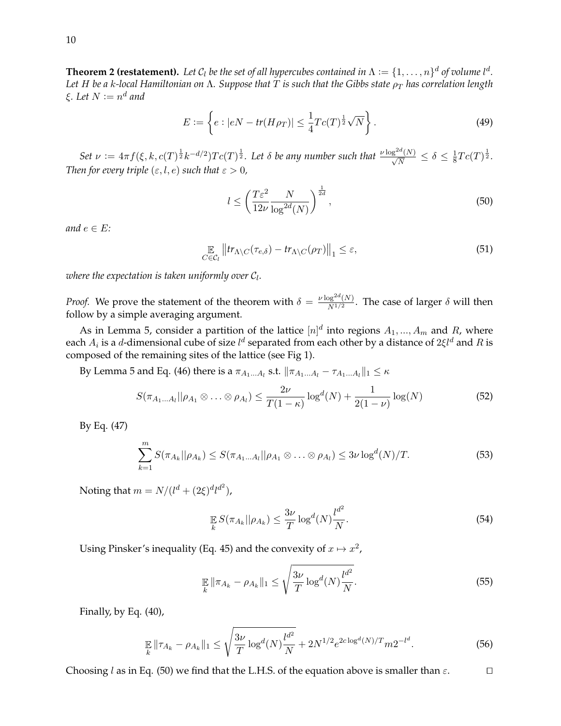**Theorem 2 (restatement).** Let  $C_l$  be the set of all hypercubes contained in  $\Lambda := \{1, \ldots, n\}^d$  of volume  $l^d$ . *Let H be a k-local Hamiltonian on* Λ*. Suppose that T is such that the Gibbs state ρ*<sub>*T*</sub> *has correlation length* ξ. Let  $N \mathrel{\mathop:}= n^d$  and

$$
E := \left\{ e : |eN - tr(H\rho_T)| \le \frac{1}{4} T c(T)^{\frac{1}{2}} \sqrt{N} \right\}.
$$
 (49)

Set  $\nu := 4\pi f(\xi, k, c(T)^{\frac{1}{2}}k^{-d/2})Tc(T)^{\frac{1}{2}}$ . Let  $\delta$  be any number such that  $\frac{\nu \log^{2d}(N)}{\sqrt{N}} \leq \delta \leq \frac{1}{8}$  $\frac{1}{8}Tc(T)^{\frac{1}{2}}.$ *Then for every triple*  $(\varepsilon, l, e)$  *such that*  $\varepsilon > 0$ *,* 

$$
l \le \left(\frac{T\varepsilon^2}{12\nu} \frac{N}{\log^{2d}(N)}\right)^{\frac{1}{2d}},\tag{50}
$$

*and*  $e \in E$ *:* 

$$
\mathop{\mathbb{E}}_{C \in \mathcal{C}_l} \left\| \operatorname{tr}_{\Lambda \setminus C}(\tau_{e,\delta}) - \operatorname{tr}_{\Lambda \setminus C}(\rho_T) \right\|_1 \le \varepsilon,\tag{51}
$$

where the expectation is taken uniformly over  $\mathcal{C}_l.$ 

*Proof.* We prove the statement of the theorem with  $\delta = \frac{\nu \log^{2d}(N)}{N^{1/2}}$  $\frac{\log^{10}(N)}{N^{1/2}}$ . The case of larger  $\delta$  will then follow by a simple averaging argument.

As in Lemma 5, consider a partition of the lattice  $[n]^d$  into regions  $A_1, ..., A_m$  and R, where each  $A_i$  is a d-dimensional cube of size  $l^d$  separated from each other by a distance of  $2\xi l^d$  and  $R$  is composed of the remaining sites of the lattice (see Fig 1).

By Lemma 5 and Eq. (46) there is a  $\pi_{A_1...A_l}$  s.t.  $\|\pi_{A_1...A_l} - \tau_{A_1...A_l}\|_1 \leq \kappa$ 

$$
S(\pi_{A_1\ldots A_l}||\rho_{A_1}\otimes\ldots\otimes\rho_{A_l})\leq \frac{2\nu}{T(1-\kappa)}\log^d(N)+\frac{1}{2(1-\nu)}\log(N)\tag{52}
$$

By Eq. (47)

$$
\sum_{k=1}^{m} S(\pi_{A_k} || \rho_{A_k}) \le S(\pi_{A_1...A_l} || \rho_{A_1} \otimes ... \otimes \rho_{A_l}) \le 3\nu \log^{d}(N)/T.
$$
 (53)

Noting that  $m = N/(l^d + (2\xi)^d l^{d^2})$ ,

$$
\mathop{\mathbb{E}}_k S(\pi_{A_k}||\rho_{A_k}) \le \frac{3\nu}{T} \log^d(N) \frac{l^{d^2}}{N}.
$$
\n
$$
(54)
$$

Using Pinsker's inequality (Eq. 45) and the convexity of  $x \mapsto x^2$ ,

$$
\mathop{\mathbb{E}}_{k} \|\pi_{A_{k}} - \rho_{A_{k}}\|_{1} \leq \sqrt{\frac{3\nu}{T} \log^{d}(N) \frac{l^{d^{2}}}{N}}.
$$
\n(55)

Finally, by Eq. (40),

$$
\mathbb{E}_{k} \|\tau_{A_{k}} - \rho_{A_{k}}\|_{1} \leq \sqrt{\frac{3\nu}{T} \log^{d}(N) \frac{l^{d^{2}}}{N}} + 2N^{1/2} e^{2c \log^{d}(N)/T} m 2^{-l^{d}}.
$$
\n(56)

Choosing l as in Eq. (50) we find that the L.H.S. of the equation above is smaller than  $\varepsilon$ .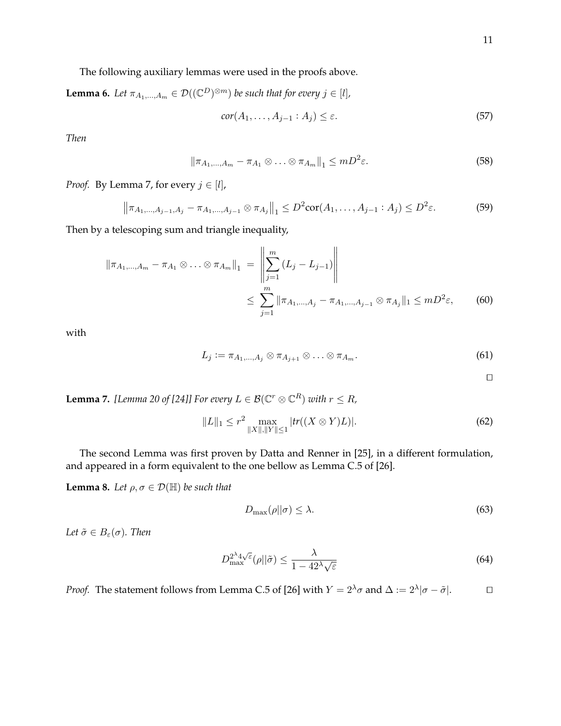The following auxiliary lemmas were used in the proofs above.

**Lemma 6.** Let 
$$
\pi_{A_1,...,A_m} \in \mathcal{D}((\mathbb{C}^D)^{\otimes m})
$$
 be such that for every  $j \in [l]$ ,  
\n
$$
cor(A_1,...,A_{j-1}:A_j) \leq \varepsilon.
$$
\n(57)

*Then*

$$
\|\pi_{A_1,\ldots,A_m}-\pi_{A_1}\otimes\ldots\otimes\pi_{A_m}\|_1\leq mD^2\varepsilon.
$$
\n(58)

*Proof.* By Lemma 7, for every  $j \in [l]$ ,

$$
\left\|\pi_{A_1,\dots,A_{j-1},A_j} - \pi_{A_1,\dots,A_{j-1}} \otimes \pi_{A_j}\right\|_1 \le D^2 \text{cor}(A_1,\dots,A_{j-1}:A_j) \le D^2 \varepsilon. \tag{59}
$$

Then by a telescoping sum and triangle inequality,

$$
\|\pi_{A_1,\dots,A_m} - \pi_{A_1} \otimes \dots \otimes \pi_{A_m}\|_1 = \left\|\sum_{j=1}^m (L_j - L_{j-1})\right\|
$$
  

$$
\leq \sum_{j=1}^m \|\pi_{A_1,\dots,A_j} - \pi_{A_1,\dots,A_{j-1}} \otimes \pi_{A_j}\|_1 \leq mD^2\varepsilon,
$$
 (60)

with

$$
L_j := \pi_{A_1,\ldots,A_j} \otimes \pi_{A_{j+1}} \otimes \ldots \otimes \pi_{A_m}.
$$
\n
$$
(61)
$$

 $\Box$ 

**Lemma 7.** [Lemma 20 of [24]] For every  $L \in \mathcal{B}(\mathbb{C}^r \otimes \mathbb{C}^R)$  with  $r \leq R$ ,

$$
||L||_1 \le r^2 \max_{||X||, ||Y|| \le 1} |tr((X \otimes Y)L)|. \tag{62}
$$

The second Lemma was first proven by Datta and Renner in [25], in a different formulation, and appeared in a form equivalent to the one bellow as Lemma C.5 of [26].

**Lemma 8.** *Let*  $\rho, \sigma \in \mathcal{D}(\mathbb{H})$  *be such that* 

$$
D_{\max}(\rho||\sigma) \le \lambda. \tag{63}
$$

*Let*  $\tilde{\sigma} \in B_{\varepsilon}(\sigma)$ *. Then* 

$$
D_{\max}^{2^{\lambda}4\sqrt{\varepsilon}}(\rho||\tilde{\sigma}) \le \frac{\lambda}{1 - 42^{\lambda}\sqrt{\varepsilon}}
$$
\n(64)

*Proof.* The statement follows from Lemma C.5 of [26] with  $Y = 2^{\lambda} \sigma$  and  $\Delta := 2^{\lambda} |\sigma - \tilde{\sigma}|$ .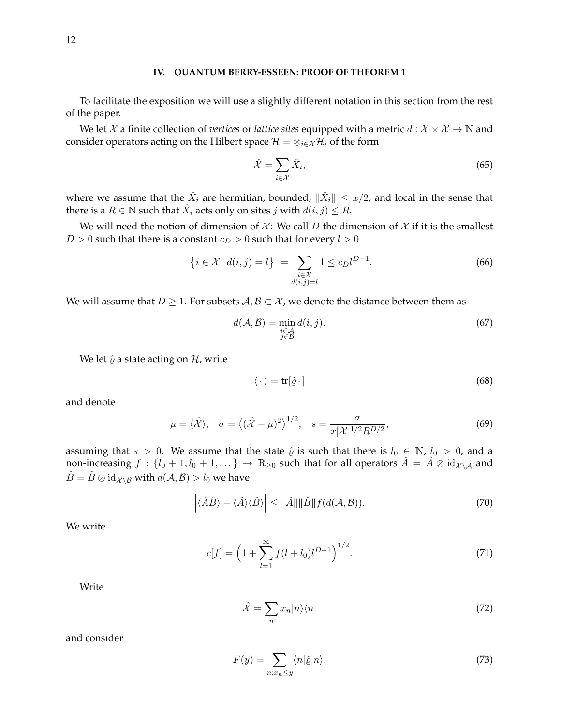#### **IV. QUANTUM BERRY-ESSEEN: PROOF OF THEOREM 1**

To facilitate the exposition we will use a slightly different notation in this section from the rest of the paper.

We let X a finite collection of *vertices* or *lattice sites* equipped with a metric  $d : X \times X \to \mathbb{N}$  and consider operators acting on the Hilbert space  $\mathcal{H} = \otimes_{i \in \mathcal{X}} \mathcal{H}_i$  of the form

$$
\hat{\mathcal{X}} = \sum_{i \in \mathcal{X}} \hat{X}_i,\tag{65}
$$

where we assume that the  $\hat{X}_i$  are hermitian, bounded,  $\|\hat{X}_i\| \leq x/2$ , and local in the sense that there is a  $R\in\mathbb{N}$  such that  $\hat{X}_i$  acts only on sites  $j$  with  $d(i,j)\stackrel{\scriptstyle <}{\leq} R.$ 

We will need the notion of dimension of  $\mathcal{X}$ : We call D the dimension of  $\mathcal{X}$  if it is the smallest  $D > 0$  such that there is a constant  $c_D > 0$  such that for every  $l > 0$ 

$$
\left| \left\{ i \in \mathcal{X} \, \middle| \, d(i,j) = l \right\} \right| = \sum_{\substack{i \in \mathcal{X} \\ d(i,j) = l}} 1 \le c_D l^{D-1}.
$$
\n
$$
(66)
$$

We will assume that  $D \geq 1$ . For subsets  $A, B \subset \mathcal{X}$ , we denote the distance between them as

$$
d(\mathcal{A}, \mathcal{B}) = \min_{\substack{i \in \mathcal{A} \\ j \in \mathcal{B}}} d(i, j). \tag{67}
$$

We let  $\hat{\varrho}$  a state acting on  $\mathcal{H}$ , write

$$
\langle \cdot \rangle = \text{tr}[\hat{\varrho} \cdot] \tag{68}
$$

and denote

$$
\mu = \langle \hat{\mathcal{X}} \rangle, \quad \sigma = \langle (\hat{\mathcal{X}} - \mu)^2 \rangle^{1/2}, \quad s = \frac{\sigma}{x |\mathcal{X}|^{1/2} R^{D/2}}, \tag{69}
$$

assuming that  $s > 0$ . We assume that the state  $\hat{\varrho}$  is such that there is  $l_0 \in \mathbb{N}$ ,  $l_0 > 0$ , and a non-increasing  $f : \{l_0 + 1, l_0 + 1, ...\} \to \mathbb{R}_{\geq 0}$  such that for all operators  $\hat{A} = \hat{A} \otimes id_{\mathcal{X} \setminus \mathcal{A}}$  and  $\hat{B} = \hat{B} \otimes id_{\mathcal{X} \setminus \mathcal{B}}$  with  $d(\mathcal{A}, \mathcal{B}) > l_0$  we have

$$
\left| \langle \hat{A}\hat{B} \rangle - \langle \hat{A} \rangle \langle \hat{B} \rangle \right| \leq ||\hat{A}|| ||\hat{B}|| f(d(\mathcal{A}, \mathcal{B})). \tag{70}
$$

We write

$$
c[f] = \left(1 + \sum_{l=1}^{\infty} f(l+l_0)l^{D-1}\right)^{1/2}.
$$
 (71)

Write

$$
\hat{\mathcal{X}} = \sum_{n} x_n |n\rangle\langle n| \tag{72}
$$

and consider

$$
F(y) = \sum_{n:x_n \le y} \langle n|\hat{\varrho}|n\rangle.
$$
 (73)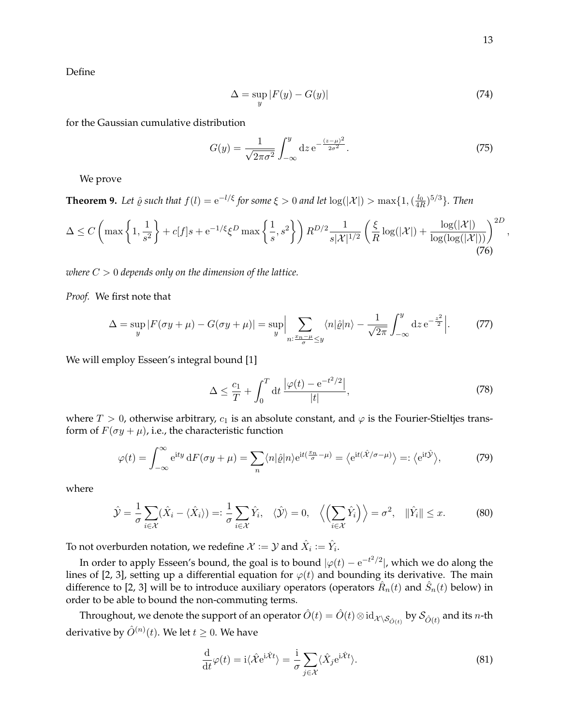Define

$$
\Delta = \sup_{y} |F(y) - G(y)| \tag{74}
$$

for the Gaussian cumulative distribution

$$
G(y) = \frac{1}{\sqrt{2\pi\sigma^2}} \int_{-\infty}^{y} dz \, e^{-\frac{(z-\mu)^2}{2\sigma^2}}.
$$
 (75)

We prove

**Theorem 9.** Let  $\hat{\varrho}$  such that  $f(l) = e^{-l/\xi}$  for some  $\xi > 0$  and let  $\log(|\mathcal{X}|) > \max\{1, (\frac{l_0}{4R})^{5/3}\}$ . Then

$$
\Delta \le C \left( \max\left\{ 1, \frac{1}{s^2} \right\} + c[f]s + e^{-1/\xi} \xi^D \max\left\{ \frac{1}{s}, s^2 \right\} \right) R^{D/2} \frac{1}{s|\mathcal{X}|^{1/2}} \left( \frac{\xi}{R} \log(|\mathcal{X}|) + \frac{\log(|\mathcal{X}|)}{\log(\log(|\mathcal{X}|))} \right)^{2D},\tag{76}
$$

*where* C > 0 *depends only on the dimension of the lattice.*

*Proof.* We first note that

$$
\Delta = \sup_{y} |F(\sigma y + \mu) - G(\sigma y + \mu)| = \sup_{y} \Big| \sum_{n: \frac{x_n - \mu}{\sigma} \le y} \langle n | \hat{\varrho} | n \rangle - \frac{1}{\sqrt{2\pi}} \int_{-\infty}^{y} dz \, e^{-\frac{z^2}{2}} \Big|.
$$
 (77)

We will employ Esseen's integral bound [1]

$$
\Delta \le \frac{c_1}{T} + \int_0^T \mathrm{d}t \, \frac{\left|\varphi(t) - \mathrm{e}^{-t^2/2}\right|}{|t|},\tag{78}
$$

where  $T > 0$ , otherwise arbitrary,  $c_1$  is an absolute constant, and  $\varphi$  is the Fourier-Stieltjes transform of  $F(\sigma y + \mu)$ , i.e., the characteristic function

$$
\varphi(t) = \int_{-\infty}^{\infty} e^{ity} dF(\sigma y + \mu) = \sum_{n} \langle n | \hat{\varrho} | n \rangle e^{it(\frac{x_n}{\sigma} - \mu)} = \langle e^{it(\hat{\mathcal{X}}/\sigma - \mu)} \rangle =: \langle e^{it\hat{\mathcal{Y}}} \rangle,
$$
(79)

where

$$
\hat{\mathcal{Y}} = \frac{1}{\sigma} \sum_{i \in \mathcal{X}} (\hat{X}_i - \langle \hat{X}_i \rangle) =: \frac{1}{\sigma} \sum_{i \in \mathcal{X}} \hat{Y}_i, \quad \langle \hat{\mathcal{Y}} \rangle = 0, \quad \left\langle \left( \sum_{i \in \mathcal{X}} \hat{Y}_i \right) \right\rangle = \sigma^2, \quad \|\hat{Y}_i\| \leq x. \tag{80}
$$

To not overburden notation, we redefine  $\mathcal{X}:=\mathcal{Y}$  and  $\hat{X}_i\coloneqq\hat{Y}_i.$ 

In order to apply Esseen's bound, the goal is to bound  $|\varphi(t)-{\rm e}^{-t^2/2}|$ , which we do along the lines of [2, 3], setting up a differential equation for  $\varphi(t)$  and bounding its derivative. The main difference to [2, 3] will be to introduce auxiliary operators (operators  $\hat{R}_n(t)$  and  $\hat{S}_n(t)$  below) in order to be able to bound the non-commuting terms.

Throughout, we denote the support of an operator  $\hat O(t)=\hat O(t)\otimes{\rm id}_{\cal X\backslash S_{\hat O(t)}}$  by  $\cal S_{\hat O(t)}$  and its  $n$ -th derivative by  $\hat O^{(n)}(t).$  We let  $t\geq 0.$  We have

$$
\frac{\mathrm{d}}{\mathrm{d}t}\varphi(t) = \mathrm{i}\langle \hat{\mathcal{X}}e^{\mathrm{i}\hat{\mathcal{X}}t} \rangle = \frac{\mathrm{i}}{\sigma} \sum_{j \in \mathcal{X}} \langle \hat{X}_j e^{\mathrm{i}\hat{\mathcal{X}}t} \rangle.
$$
\n(81)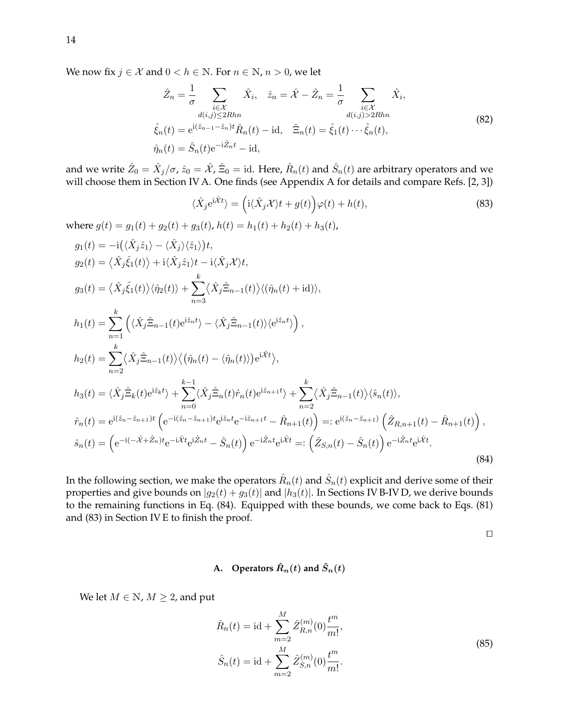We now fix  $j \in \mathcal{X}$  and  $0 < h \in \mathbb{N}$ . For  $n \in \mathbb{N}$ ,  $n > 0$ , we let

$$
\hat{Z}_n = \frac{1}{\sigma} \sum_{\substack{i \in \mathcal{X} \\ d(i,j) \le 2Rhn}} \hat{X}_i, \quad \hat{z}_n = \hat{\mathcal{X}} - \hat{Z}_n = \frac{1}{\sigma} \sum_{\substack{i \in \mathcal{X} \\ d(i,j) > 2Rhn}} \hat{X}_i,
$$
\n
$$
\hat{\xi}_n(t) = e^{i(\hat{z}_{n-1} - \hat{z}_n)t} \hat{R}_n(t) - id, \quad \hat{\Xi}_n(t) = \hat{\xi}_1(t) \cdots \hat{\xi}_n(t),
$$
\n
$$
\hat{\eta}_n(t) = \hat{S}_n(t) e^{-i\hat{Z}_n t} - id,
$$
\n(82)

and we write  $\hat Z_0=\hat X_j/\sigma$ ,  $\hat z_0=\hat{\mathcal X}$ ,  $\hat \Xi_0=$  id. Here,  $\hat R_n(t)$  and  $\hat S_n(t)$  are arbitrary operators and we will choose them in Section IV A. One finds (see Appendix A for details and compare Refs. [2, 3])

$$
\langle \hat{X}_j e^{i\hat{\mathcal{X}}t} \rangle = \left( i \langle \hat{X}_j \mathcal{X} \rangle t + g(t) \right) \varphi(t) + h(t),\tag{83}
$$

where  $g(t) = g_1(t) + g_2(t) + g_3(t)$ ,  $h(t) = h_1(t) + h_2(t) + h_3(t)$ ,

$$
g_1(t) = -i(\langle \hat{X}_j \hat{z}_1 \rangle - \langle \hat{X}_j \rangle \langle \hat{z}_1 \rangle)t,
$$
  
\n
$$
g_2(t) = \langle \hat{X}_j \hat{\xi}_1(t) \rangle + i \langle \hat{X}_j \hat{z}_1 \rangle t - i \langle \hat{X}_j \mathcal{X} \rangle t,
$$
  
\n
$$
g_3(t) = \langle \hat{X}_j \hat{\xi}_1(t) \rangle \langle \hat{\eta}_2(t) \rangle + \sum_{n=3}^k \langle \hat{X}_j \hat{\Xi}_{n-1}(t) \rangle \langle (\hat{\eta}_n(t) + id) \rangle,
$$
  
\n
$$
h_1(t) = \sum_{n=1}^k \left( \langle \hat{X}_j \hat{\Xi}_{n-1}(t) e^{i\hat{z}_n t} \rangle - \langle \hat{X}_j \hat{\Xi}_{n-1}(t) \rangle \langle e^{i\hat{z}_n t} \rangle \right),
$$
  
\n
$$
h_2(t) = \sum_{n=2}^k \langle \hat{X}_j \hat{\Xi}_{n-1}(t) \rangle \langle (\hat{\eta}_n(t) - \langle \hat{\eta}_n(t) \rangle) e^{i\hat{X}t} \rangle,
$$
  
\n
$$
h_3(t) = \langle \hat{X}_j \hat{\Xi}_k(t) e^{i\hat{z}_k t} \rangle + \sum_{n=0}^{k-1} \langle \hat{X}_j \hat{\Xi}_n(t) \hat{r}_n(t) e^{i\hat{z}_{n+1}t} \rangle + \sum_{n=2}^k \langle \hat{X}_j \hat{\Xi}_{n-1}(t) \rangle \langle \hat{s}_n(t) \rangle,
$$
  
\n
$$
\hat{r}_n(t) = e^{i(\hat{z}_n - \hat{z}_{n+1})t} \left( e^{-i(\hat{z}_n - \hat{z}_{n+1})t} e^{i\hat{z}_n t} e^{-i\hat{z}_{n+1}t} - \hat{R}_{n+1}(t) \right) =: e^{i(\hat{z}_n - \hat{z}_{n+1})} \left( \hat{Z}_{R,n+1}(t) - \hat{R}_{n+1}(t) \right),
$$
  
\n
$$
\hat{s}_n(t) = \left( e^{-i(-\hat{X} + \hat{Z}_n)t} e^{-i\hat{X}t} e^{i\hat{Z}_n t
$$

In the following section, we make the operators  $\hat{R}_n(t)$  and  $\hat{S}_n(t)$  explicit and derive some of their properties and give bounds on  $|g_2(t) + g_3(t)|$  and  $|h_3(t)|$ . In Sections IV B-IV D, we derive bounds to the remaining functions in Eq. (84). Equipped with these bounds, we come back to Eqs. (81) and (83) in Section IV E to finish the proof.

 $\Box$ 

## **A.** Operators  $\hat{R}_n(t)$  and  $\hat{S}_n(t)$

We let  $M \in \mathbb{N}$ ,  $M \geq 2$ , and put

$$
\hat{R}_n(t) = \text{id} + \sum_{m=2}^{M} \hat{Z}_{R,n}^{(m)}(0) \frac{t^m}{m!},
$$
\n
$$
\hat{S}_n(t) = \text{id} + \sum_{m=2}^{M} \hat{Z}_{S,n}^{(m)}(0) \frac{t^m}{m!}.
$$
\n(85)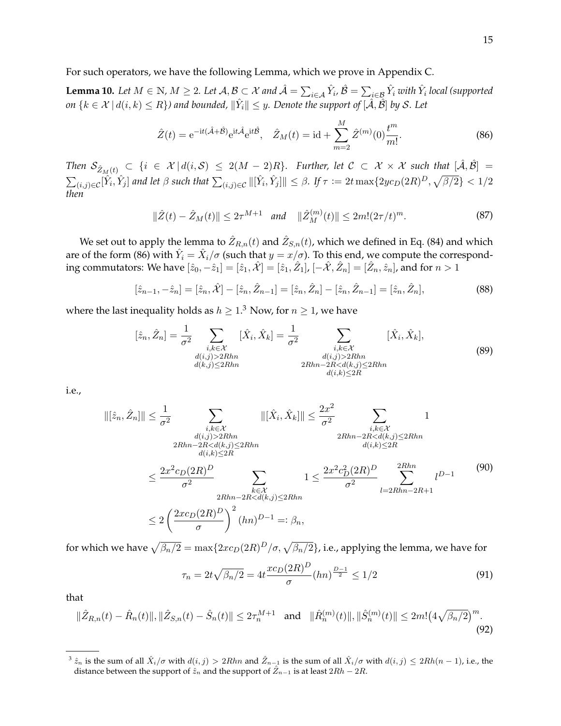For such operators, we have the following Lemma, which we prove in Appendix C.

**Lemma 10.** Let  $M \in \mathbb{N}$ ,  $M \ge 2$ . Let  $\mathcal{A}, \mathcal{B} \subset \mathcal{X}$  and  $\hat{\mathcal{A}} = \sum_{i \in \mathcal{A}} \hat{Y}_i$ ,  $\hat{\mathcal{B}} = \sum_{i \in \mathcal{B}} \hat{Y}_i$  with  $\hat{Y}_i$  local (supported *on*  $\{k \in \mathcal{X} \,|\, d(i,k) \leq R\}$ ) and bounded,  $\|\hat{Y}_i\| \leq y$ . Denote the support of  $[\hat{\mathcal{A}},\hat{\mathcal{B}}]$  by  $\mathcal{S}.$  Let

$$
\hat{Z}(t) = e^{-it(\hat{\mathcal{A}} + \hat{\mathcal{B}})} e^{it\hat{\mathcal{A}}} e^{it\hat{\mathcal{B}}}, \quad \hat{Z}_M(t) = id + \sum_{m=2}^M \hat{Z}^{(m)}(0) \frac{t^m}{m!}.
$$
 (86)

 $\text{Then } \mathcal{S}_{\hat{Z}_M(t)} \text{ }\subset \text{ } \{i\text{ }\in \text{ }\mathcal{X}\text{ }|\text{ }d(i,\mathcal{S})\text{ }\leq \text{ } 2(M-2)R\}.$  Further, let  $\mathcal{C}\text{ }\subset \text{ }\mathcal{X}\times\mathcal{X}\text{ such that } [\hat{\mathcal{A}},\hat{\mathcal{B}}]\text{ }=$  $\sum_{(i,j)\in\mathcal{C}}[\hat{Y}_i,\hat{Y}_j]$  and let  $\beta$  such that  $\sum_{(i,j)\in\mathcal{C}}\|[\hat{Y}_i,\hat{Y}_j]\|\leq \beta.$  If  $\tau\coloneqq2t\max\{2yc_D(2R)^D,\sqrt{\beta/2}\}< 1/2$ *then*

$$
\|\hat{Z}(t) - \hat{Z}_M(t)\| \le 2\tau^{M+1} \quad \text{and} \quad \|\hat{Z}_M^{(m)}(t)\| \le 2m!(2\tau/t)^m. \tag{87}
$$

We set out to apply the lemma to  $\hat Z_{R,n}(t)$  and  $\hat Z_{S,n}(t)$ , which we defined in Eq. (84) and which are of the form (86) with  $\hat{Y}_i=\hat{X}_i/\sigma$  (such that  $y=x/\sigma$ ). To this end, we compute the corresponding commutators: We have  $[\hat{z}_0, -\hat{z}_1] = [\hat{z}_1, \hat{\mathcal{X}}] = [\hat{z}_1, \hat{Z}_1]$ ,  $[-\hat{\mathcal{X}}, \hat{Z}_n] = [\hat{Z}_n, \hat{z}_n]$ , and for  $n > 1$ 

$$
[\hat{z}_{n-1}, -\hat{z}_n] = [\hat{z}_n, \hat{\mathcal{X}}] - [\hat{z}_n, \hat{Z}_{n-1}] = [\hat{z}_n, \hat{Z}_n] - [\hat{z}_n, \hat{Z}_{n-1}] = [\hat{z}_n, \hat{Z}_n],
$$
\n(88)

where the last inequality holds as  $h \geq 1.3$  Now, for  $n \geq 1$ , we have

$$
[\hat{z}_n, \hat{Z}_n] = \frac{1}{\sigma^2} \sum_{\substack{i,k \in \mathcal{X} \\ d(i,j) > 2Rhn \\ d(k,j) \le 2Rhn}} [\hat{X}_i, \hat{X}_k] = \frac{1}{\sigma^2} \sum_{\substack{i,k \in \mathcal{X} \\ d(i,j) > 2Rhn \\ 2Rhn - 2R < d(k,j) \le 2Rhn \\ d(i,k) \le 2R}} [\hat{X}_i, \hat{X}_k],\tag{89}
$$

i.e.,

$$
\begin{aligned}\n\|[\hat{z}_n, \hat{Z}_n]\| &\leq \frac{1}{\sigma^2} \sum_{\substack{i, k \in \mathcal{X} \\ d(i,j) > 2Rhn \\ 2Rhn - 2R < d(k,j) \leq 2R}} \|[\hat{X}_i, \hat{X}_k]\| &\leq \frac{2x^2}{\sigma^2} \sum_{\substack{i, k \in \mathcal{X} \\ 2Rhn - 2R < d(k,j) \leq 2Rhn \\ d(i,k) \leq 2R}} 1 \\
&\leq \frac{2x^2 c_D (2R)^D}{\sigma^2} \sum_{\substack{k \in \mathcal{X} \\ 2Rhn - 2R < d(k,j) \leq 2Rhn \\ 2Rhn - 2R < d(k,j) \leq 2Rhn}} 1 \leq \frac{2x^2 c_D^2 (2R)^D}{\sigma^2} \sum_{l=2Rhn - 2R + 1}^{2Rhn} l^{D-1} \tag{90} \\
&\leq 2\left(\frac{2x c_D (2R)^D}{\sigma}\right)^2 (hn)^{D-1} =: \beta_n,\n\end{aligned}
$$

for which we have  $\sqrt{\beta_n/2}=\max\{2x c_D(2R)^D/\sigma,\sqrt{\beta_n/2}\}$ , i.e., applying the lemma, we have for

$$
\tau_n = 2t\sqrt{\beta_n/2} = 4t \frac{x c_D (2R)^D}{\sigma} (hn)^{\frac{D-1}{2}} \le 1/2 \tag{91}
$$

that

$$
\|\hat{Z}_{R,n}(t) - \hat{R}_n(t)\|, \|\hat{Z}_{S,n}(t) - \hat{S}_n(t)\| \le 2\tau_n^{M+1} \quad \text{and} \quad \|\hat{R}_n^{(m)}(t)\|, \|\hat{S}_n^{(m)}(t)\| \le 2m!(4\sqrt{\beta_n/2})^m. \tag{92}
$$

 $\hat{z}^3 \hat{z}_n$  is the sum of all  $\hat{X}_i/\sigma$  with  $d(i, j) > 2Rhn$  and  $\hat{Z}_{n-1}$  is the sum of all  $\hat{X}_i/\sigma$  with  $d(i, j) \leq 2Rh(n-1)$ , i.e., the distance between the support of  $\hat{z}_n$  and the support of  $\hat{Z}_{n-1}$  is at least  $2Rh - 2R$ .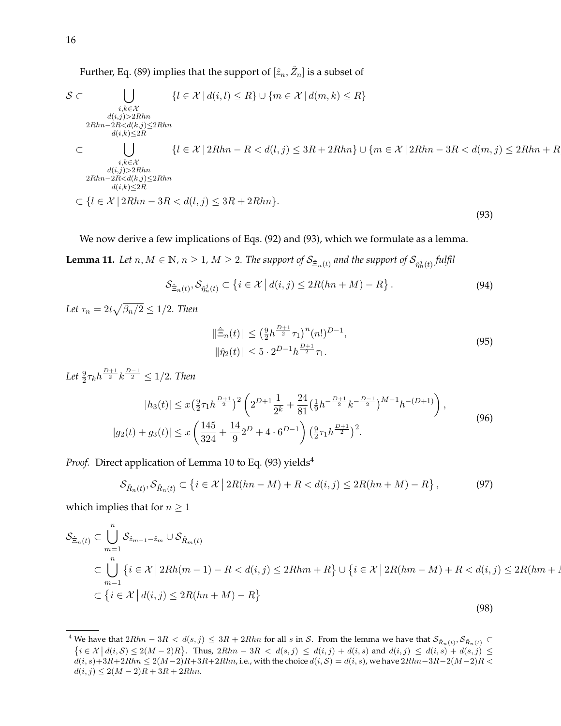Further, Eq. (89) implies that the support of  $[\hat{z}_n,\hat{Z}_n]$  is a subset of

$$
\mathcal{S} \subset \bigcup_{\substack{i,k \in \mathcal{X} \\ d(i,j) > 2Rhn \\ 2Rhn - 2R < d(k,j) \le 2R \\ \text{if } i, j \ge 2R \\ \subset \bigcup_{\substack{i,k \in \mathcal{X} \\ i,k \in \mathcal{X} \\ d(i,j) > 2Rhn \\ d(i,j) > 2Rhn}} \{l \in \mathcal{X} \mid 2Rhn - R < d(l,j) \le 3R + 2Rhn \} \cup \{m \in \mathcal{X} \mid 2Rhn - 3R < d(m,j) \le 2Rhn + R \\ \mathcal{S} \subset \bigcup_{\substack{i,k \in \mathcal{X} \\ d(i,j) > 2Rhn \\ d(i,k) \le 2R}} \{l \in \mathcal{X} \mid 2Rhn - R < d(l,j) \le 3R + 2Rhn \} \cup \{m \in \mathcal{X} \mid 2Rhn - 3R < d(m,j) \le 2Rhn + R \} \tag{93}
$$

We now derive a few implications of Eqs. (92) and (93), which we formulate as a lemma.

 ${\bf Lemma \ 11.} \ \ Let \ n,M\in\mathbb{N}, n\geq 1,\, M\geq 2. \ \ The \ support \ of \ \mathcal{S}_{\hat{\Xi}_{n}(t)} \ and \ the \ support \ of \ \mathcal{S}_{\hat{\eta}^j_n(t)} \ full \$ 

$$
\mathcal{S}_{\hat{\Xi}_n(t)}, \mathcal{S}_{\hat{\eta}_n^j(t)} \subset \left\{ i \in \mathcal{X} \, \middle| \, d(i,j) \le 2R(hn+M) - R \right\}.
$$
\n
$$
(94)
$$

Let  $\tau_n = 2t\sqrt{\beta_n/2} \leq 1/2$ *. Then* 

$$
\|\hat{\Xi}_n(t)\| \le \left(\frac{9}{2}h^{\frac{D+1}{2}}\tau_1\right)^n (n!)^{D-1},
$$
  

$$
\|\hat{\eta}_2(t)\| \le 5 \cdot 2^{D-1}h^{\frac{D+1}{2}}\tau_1.
$$
 (95)

Let  $\frac{9}{2} \tau_k h^{\frac{D+1}{2}} k^{\frac{D-1}{2}} \leq 1/2$ *. Then* 

$$
|h_3(t)| \le x \left(\frac{9}{2}\tau_1 h^{\frac{D+1}{2}}\right)^2 \left(2^{D+1} \frac{1}{2^k} + \frac{24}{81} \left(\frac{1}{9}h^{-\frac{D+1}{2}}k^{-\frac{D-1}{2}}\right)^{M-1} h^{-(D+1)}\right),
$$
  

$$
|g_2(t) + g_3(t)| \le x \left(\frac{145}{324} + \frac{14}{9}2^D + 4 \cdot 6^{D-1}\right) \left(\frac{9}{2}\tau_1 h^{\frac{D+1}{2}}\right)^2.
$$
 (96)

*Proof.* Direct application of Lemma 10 to Eq. (93) yields<sup>4</sup>

$$
S_{\hat{R}_n(t)}, S_{\hat{R}_n(t)} \subset \left\{ i \in \mathcal{X} \, \big| \, 2R(hn - M) + R < d(i, j) \le 2R(hn + M) - R \right\},\tag{97}
$$

which implies that for  $n \geq 1$ 

$$
\mathcal{S}_{\hat{\Xi}_n(t)} \subset \bigcup_{m=1}^n \mathcal{S}_{\hat{z}_{m-1}-\hat{z}_m} \cup \mathcal{S}_{\hat{R}_m(t)}
$$
\n
$$
\subset \bigcup_{m=1}^n \left\{ i \in \mathcal{X} \mid 2Rh(m-1) - R < d(i,j) \le 2Rhm + R \right\} \cup \left\{ i \in \mathcal{X} \mid 2R(hm-M) + R < d(i,j) \le 2R(hm+1) \right\}
$$
\n
$$
\subset \left\{ i \in \mathcal{X} \mid d(i,j) \le 2R(hm+M) - R \right\} \tag{98}
$$

<sup>&</sup>lt;sup>4</sup> We have that  $2Rhn-3R < d(s, j) \leq 3R+2Rhn$  for all s in S. From the lemma we have that  $\mathcal{S}_{\hat{R}_n(t)}, \mathcal{S}_{\hat{R}_n(t)} \subset$  $\{i \in \mathcal{X} \mid d(i, \mathcal{S}) \leq 2(M-2)R\}$ . Thus,  $2Rhn - 3R < d(s, j) \leq d(i, j) + d(i, s)$  and  $d(i, j) \leq d(i, s) + d(s, j) \leq$  $d(i, s)+3R+2Rhn \leq 2(M-2)R+3R+2Rhn$ , i.e., with the choice  $d(i, S) = d(i, s)$ , we have  $2Rhn-3R-2(M-2)R <$  $d(i, j) \leq 2(M - 2)R + 3R + 2Rhn.$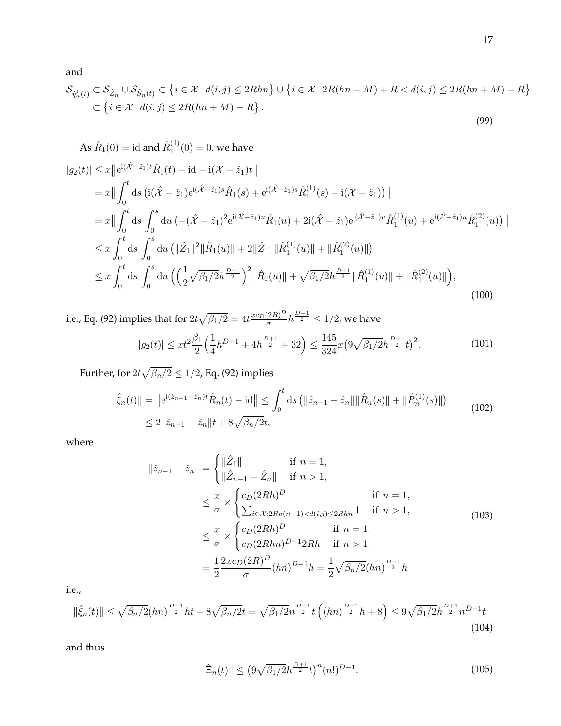and

$$
\mathcal{S}_{\hat{\eta}_n^j(t)} \subset \mathcal{S}_{\hat{Z}_n} \cup \mathcal{S}_{\hat{S}_n(t)} \subset \left\{ i \in \mathcal{X} \, \middle| \, d(i,j) \le 2Rhn \right\} \cup \left\{ i \in \mathcal{X} \, \middle| \, 2R(hn-M) + R < d(i,j) \le 2R(hn+M) - R \right\} \\
\subset \left\{ i \in \mathcal{X} \, \middle| \, d(i,j) \le 2R(hn+M) - R \right\}.
$$
\n(99)

As 
$$
\hat{R}_1(0) = \text{id}
$$
 and  $\hat{R}_1^{(1)}(0) = 0$ , we have  
\n
$$
|g_2(t)| \leq x ||e^{i(\hat{X}-\hat{z}_1)t} \hat{R}_1(t) - \text{id} - i(\mathcal{X}-\hat{z}_1)t||
$$
\n
$$
= x || \int_0^t \text{d}s \left( i(\hat{X}-\hat{z}_1)e^{i(\hat{X}-\hat{z}_1)s} \hat{R}_1(s) + e^{i(\hat{X}-\hat{z}_1)s} \hat{R}_1^{(1)}(s) - i(\mathcal{X}-\hat{z}_1) \right) ||
$$
\n
$$
= x || \int_0^t \text{d}s \int_0^s \text{d}u \left( -(\hat{X}-\hat{z}_1)^2 e^{i(\hat{X}-\hat{z}_1)u} \hat{R}_1(u) + 2i(\hat{X}-\hat{z}_1)e^{i(\hat{X}-\hat{z}_1)u} \hat{R}_1^{(1)}(u) + e^{i(\hat{X}-\hat{z}_1)u} \hat{R}_1^{(2)}(u) \right) ||
$$
\n
$$
\leq x \int_0^t \text{d}s \int_0^s \text{d}u \left( ||\hat{Z}_1||^2 ||\hat{R}_1(u) || + 2||\hat{Z}_1 || ||\hat{R}_1^{(1)}(u) || + ||\hat{R}_1^{(2)}(u) || \right)
$$
\n
$$
\leq x \int_0^t \text{d}s \int_0^s \text{d}u \left( \left( \frac{1}{2} \sqrt{\beta_1/2} h^{\frac{D+1}{2}} \right)^2 ||\hat{R}_1(u) || + \sqrt{\beta_1/2} h^{\frac{D+1}{2}} ||\hat{R}_1^{(1)}(u) || + ||\hat{R}_1^{(2)}(u) || \right), \tag{100}
$$

i.e., Eq. (92) implies that for  $2t\sqrt{\beta_1/2} = 4t \frac{xc_D(2R)^D}{\sigma}$  $\frac{(2R)^D}{\sigma}h^{\frac{D-1}{2}}\leq 1/2$ , we have  $|g_2(t)| \leq xt^2 \frac{\beta_1}{2}$  $(1)$  $\frac{1}{4}h^{D+1} + 4h^{\frac{D+1}{2}} + 32\right) \le \frac{145}{324}$  $\frac{145}{324}x(9\sqrt{\beta_1/2}h^{\frac{D+1}{2}}t)^2$ 

Further, for  $2t\sqrt{\beta_n/2}\leq 1/2$ , Eq. (92) implies

$$
\|\hat{\xi}_n(t)\| = \|e^{i(\hat{z}_{n-1} - \hat{z}_n)t} \hat{R}_n(t) - id\| \le \int_0^t ds \left( \|\hat{z}_{n-1} - \hat{z}_n\| \|\hat{R}_n(s)\| + \|\hat{R}_n^{(1)}(s)\|\right)
$$
  

$$
\le 2\|\hat{z}_{n-1} - \hat{z}_n\|t + 8\sqrt{\beta_n/2}t,
$$
\n(102)

where

$$
\|\hat{z}_{n-1} - \hat{z}_n\| = \begin{cases} \|\hat{Z}_1\| & \text{if } n = 1, \\ \|\hat{Z}_{n-1} - \hat{Z}_n\| & \text{if } n > 1, \end{cases}
$$
  
\n
$$
\leq \frac{x}{\sigma} \times \begin{cases} c_D(2Rh)^D & \text{if } n = 1, \\ \sum_{i \in \mathcal{X}:2Rh(n-1) < d(i,j) \leq 2Rhn} 1 & \text{if } n > 1, \\ c_D(2Rh)^D & \text{if } n = 1, \\ c_D(2Rh)^{D-1}2Rh & \text{if } n > 1, \end{cases}
$$
\n
$$
= \frac{1}{2} \frac{2x c_D(2R)^D}{\sigma} (hn)^{D-1} h = \frac{1}{2} \sqrt{\beta_n/2} (hn)^{\frac{D-1}{2}} h
$$
\n(103)

i.e.,

$$
\|\hat{\xi}_n(t)\| \le \sqrt{\beta_n/2}(hn)^{\frac{D-1}{2}}ht + 8\sqrt{\beta_n/2}t = \sqrt{\beta_1/2}n^{\frac{D-1}{2}}t\left((hn)^{\frac{D-1}{2}}h + 8\right) \le 9\sqrt{\beta_1/2}n^{\frac{D+1}{2}}n^{D-1}t
$$
\n(104)

and thus

$$
\|\hat{\Xi}_n(t)\| \le \left(9\sqrt{\beta_1/2}h^{\frac{D+1}{2}}t\right)^n(n!)^{D-1}.\tag{105}
$$

. (101)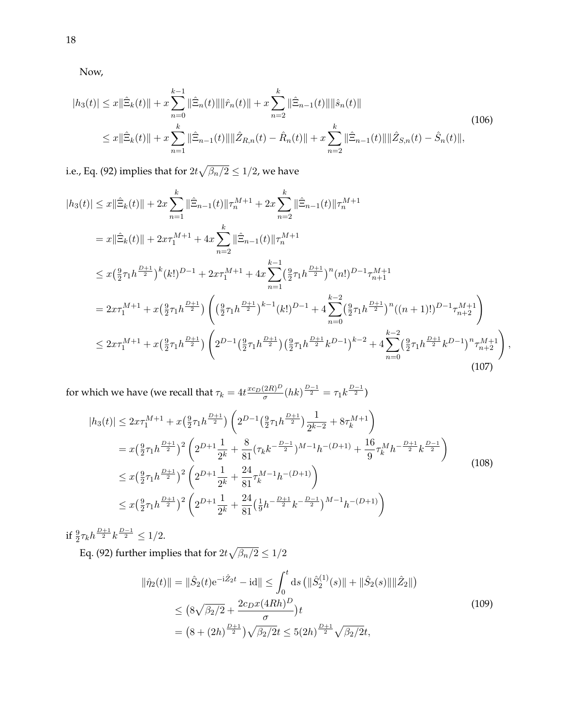Now,

$$
|h_3(t)| \le x \|\hat{\Xi}_k(t)\| + x \sum_{n=0}^{k-1} \|\hat{\Xi}_n(t)\| \|\hat{r}_n(t)\| + x \sum_{n=2}^k \|\hat{\Xi}_{n-1}(t)\| \|\hat{s}_n(t)\|
$$
  

$$
\le x \|\hat{\Xi}_k(t)\| + x \sum_{n=1}^k \|\hat{\Xi}_{n-1}(t)\| \|\hat{Z}_{R,n}(t) - \hat{R}_n(t)\| + x \sum_{n=2}^k \|\hat{\Xi}_{n-1}(t)\| \|\hat{Z}_{S,n}(t) - \hat{S}_n(t)\|,
$$
\n(106)

i.e., Eq. (92) implies that for  $2t\sqrt{\beta_n/2}\leq 1/2$ , we have

$$
|h_{3}(t)| \leq x \|\hat{\Xi}_{k}(t)\| + 2x \sum_{n=1}^{k} \|\hat{\Xi}_{n-1}(t)\| \tau_{n}^{M+1} + 2x \sum_{n=2}^{k} \|\hat{\Xi}_{n-1}(t)\| \tau_{n}^{M+1}
$$
  
\n
$$
= x \|\hat{\Xi}_{k}(t)\| + 2x\tau_{1}^{M+1} + 4x \sum_{n=2}^{k} \|\hat{\Xi}_{n-1}(t)\| \tau_{n}^{M+1}
$$
  
\n
$$
\leq x(\frac{9}{2}\tau_{1}h^{\frac{D+1}{2}})^{k}(k!)^{D-1} + 2x\tau_{1}^{M+1} + 4x \sum_{n=1}^{k-1} (\frac{9}{2}\tau_{1}h^{\frac{D+1}{2}})^{n}(n!)^{D-1}\tau_{n+1}^{M+1}
$$
  
\n
$$
= 2x\tau_{1}^{M+1} + x(\frac{9}{2}\tau_{1}h^{\frac{D+1}{2}}) \left( (\frac{9}{2}\tau_{1}h^{\frac{D+1}{2}})^{k-1}(k!)^{D-1} + 4\sum_{n=0}^{k-2} (\frac{9}{2}\tau_{1}h^{\frac{D+1}{2}})^{n}((n+1)!)^{D-1}\tau_{n+2}^{M+1} \right)
$$
  
\n
$$
\leq 2x\tau_{1}^{M+1} + x(\frac{9}{2}\tau_{1}h^{\frac{D+1}{2}}) \left( 2^{D-1}(\frac{9}{2}\tau_{1}h^{\frac{D+1}{2}})(\frac{9}{2}\tau_{1}h^{\frac{D+1}{2}}k^{D-1})^{k-2} + 4\sum_{n=0}^{k-2} (\frac{9}{2}\tau_{1}h^{\frac{D+1}{2}}k^{D-1})^{n} \tau_{n+2}^{M+1} \right),
$$
  
\n(107)

for which we have (we recall that  $\tau_k = 4t \frac{xc_D(2R)^D}{\sigma}$  $\frac{(2R)^D}{\sigma}(hk)^{\frac{D-1}{2}} = \tau_1 k^{\frac{D-1}{2}}$ 

$$
|h_3(t)| \leq 2x\tau_1^{M+1} + x\left(\frac{9}{2}\tau_1 h^{\frac{D+1}{2}}\right) \left(2^{D-1}\left(\frac{9}{2}\tau_1 h^{\frac{D+1}{2}}\right) \frac{1}{2^{k-2}} + 8\tau_k^{M+1}\right)
$$
  
\n
$$
= x\left(\frac{9}{2}\tau_1 h^{\frac{D+1}{2}}\right)^2 \left(2^{D+1}\frac{1}{2^k} + \frac{8}{81}(\tau_k k^{-\frac{D-1}{2}})^{M-1}h^{-(D+1)} + \frac{16}{9}\tau_k^M h^{-\frac{D+1}{2}} k^{\frac{D-1}{2}}\right)
$$
  
\n
$$
\leq x\left(\frac{9}{2}\tau_1 h^{\frac{D+1}{2}}\right)^2 \left(2^{D+1}\frac{1}{2^k} + \frac{24}{81}\tau_k^{M-1}h^{-(D+1)}\right)
$$
  
\n
$$
\leq x\left(\frac{9}{2}\tau_1 h^{\frac{D+1}{2}}\right)^2 \left(2^{D+1}\frac{1}{2^k} + \frac{24}{81}\left(\frac{1}{9}h^{-\frac{D+1}{2}}k^{-\frac{D-1}{2}}\right)^{M-1}h^{-(D+1)}\right)
$$
  
\n(108)

if  $\frac{9}{2} \tau_k h^{\frac{D+1}{2}} k^{\frac{D-1}{2}} \leq 1/2$ .

Eq. (92) further implies that for  $2t\sqrt{\beta_n/2}\leq 1/2$ 

$$
\|\hat{\eta}_2(t)\| = \|\hat{S}_2(t)e^{-i\hat{Z}_2 t} - id\| \le \int_0^t ds \left(\|\hat{S}_2^{(1)}(s)\| + \|\hat{S}_2(s)\|\|\hat{Z}_2\|\right)
$$
  
\n
$$
\le \left(8\sqrt{\beta_2/2} + \frac{2c_D x (4Rh)^D}{\sigma}\right)t
$$
  
\n
$$
= \left(8 + (2h)^{\frac{D+1}{2}}\right)\sqrt{\beta_2/2}t \le 5(2h)^{\frac{D+1}{2}}\sqrt{\beta_2/2}t,
$$
\n(109)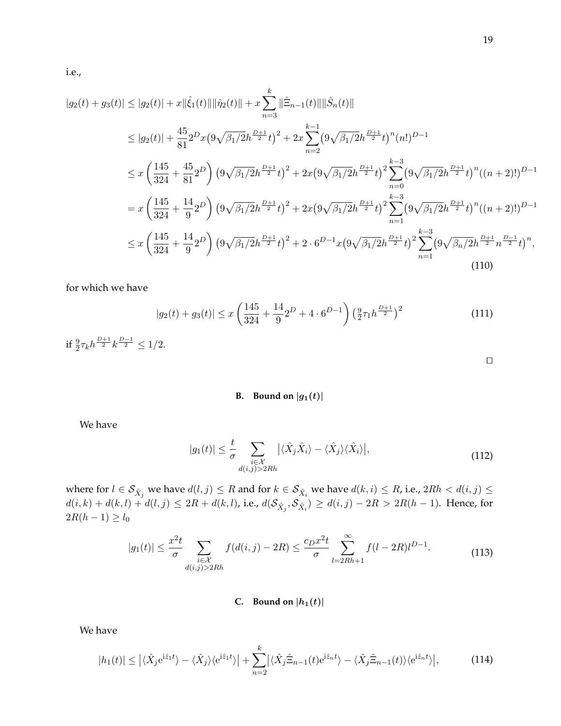i.e.,

$$
|g_2(t) + g_3(t)| \le |g_2(t)| + x||\hat{\xi}_1(t)|| \|\hat{\eta}_2(t)\| + x \sum_{n=3}^k \|\hat{\Xi}_{n-1}(t)\| \|\hat{S}_n(t)\|
$$
  
\n
$$
\le |g_2(t)| + \frac{45}{81} 2^D x \left(9\sqrt{\beta_1/2} h^{\frac{D+1}{2}} t\right)^2 + 2x \sum_{n=2}^{k-1} \left(9\sqrt{\beta_1/2} h^{\frac{D+1}{2}} t\right)^n (n!)^{D-1}
$$
  
\n
$$
\le x \left(\frac{145}{324} + \frac{45}{81} 2^D\right) \left(9\sqrt{\beta_1/2} h^{\frac{D+1}{2}} t\right)^2 + 2x \left(9\sqrt{\beta_1/2} h^{\frac{D+1}{2}} t\right)^2 \sum_{n=0}^{k-3} \left(9\sqrt{\beta_1/2} h^{\frac{D+1}{2}} t\right)^n ((n+2)!)^{D-1}
$$
  
\n
$$
= x \left(\frac{145}{324} + \frac{14}{9} 2^D\right) \left(9\sqrt{\beta_1/2} h^{\frac{D+1}{2}} t\right)^2 + 2x \left(9\sqrt{\beta_1/2} h^{\frac{D+1}{2}} t\right)^2 \sum_{n=1}^{k-3} \left(9\sqrt{\beta_1/2} h^{\frac{D+1}{2}} t\right)^n ((n+2)!)^{D-1}
$$
  
\n
$$
\le x \left(\frac{145}{324} + \frac{14}{9} 2^D\right) \left(9\sqrt{\beta_1/2} h^{\frac{D+1}{2}} t\right)^2 + 2 \cdot 6^{D-1} x \left(9\sqrt{\beta_1/2} h^{\frac{D+1}{2}} t\right)^2 \sum_{n=1}^{k-3} \left(9\sqrt{\beta_n/2} h^{\frac{D+1}{2}} n^{\frac{D-1}{2}} t\right)^n,
$$
  
\n(110)

for which we have

$$
|g_2(t) + g_3(t)| \le x \left(\frac{145}{324} + \frac{14}{9}2^D + 4 \cdot 6^{D-1}\right) \left(\frac{9}{2}\tau_1 h^{\frac{D+1}{2}}\right)^2
$$
\n(111)

if  $\frac{9}{2} \tau_k h^{\frac{D+1}{2}} k^{\frac{D-1}{2}} \leq 1/2$ .

### **B.** Bound on  $|g_1(t)|$

We have

$$
|g_1(t)| \leq \frac{t}{\sigma} \sum_{\substack{i \in \mathcal{X} \\ d(i,j) > 2Rh}} \left| \langle \hat{X}_j \hat{X}_i \rangle - \langle \hat{X}_j \rangle \langle \hat{X}_i \rangle \right|,\tag{112}
$$

where for  $l \in \mathcal{S}_{\hat{X}_j}$  we have  $d(l,j) \leq R$  and for  $k \in \mathcal{S}_{\hat{X}_i}$  we have  $d(k,i) \leq R$ , i.e.,  $2Rh < d(i,j) \leq k$  $d(i,k) + d(k,l) + d(l,j) \leq 2R + d(k,l)$ , i.e.,  $d(\mathcal{S}_{\hat{X}_j}, \mathcal{S}_{\hat{X}_i}) \geq d(i,j) - 2R > 2R(h-1)$ . Hence, for  $2R(h - 1) \ge l_0$ 

$$
|g_1(t)| \le \frac{x^2 t}{\sigma} \sum_{\substack{i \in \mathcal{X} \\ d(i,j) > 2Rh}} f(d(i,j) - 2R) \le \frac{c_D x^2 t}{\sigma} \sum_{l=2Rh+1}^{\infty} f(l - 2R)l^{D-1}.\tag{113}
$$

## **C.** Bound on  $|h_1(t)|$

We have

$$
|h_1(t)| \le |\langle \hat{X}_j e^{i\hat{z}_1 t} \rangle - \langle \hat{X}_j \rangle \langle e^{i\hat{z}_1 t} \rangle| + \sum_{n=2}^k |\langle \hat{X}_j \hat{\Xi}_{n-1}(t) e^{i\hat{z}_n t} \rangle - \langle \hat{X}_j \hat{\Xi}_{n-1}(t) \rangle \langle e^{i\hat{z}_n t} \rangle|,
$$
(114)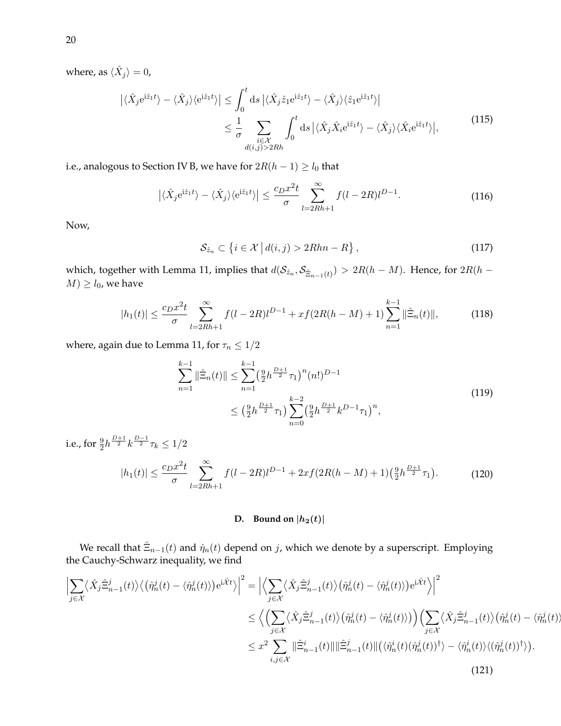where, as  $\langle \hat{X}_j \rangle = 0$ ,

$$
\left| \langle \hat{X}_j e^{i\hat{z}_1 t} \rangle - \langle \hat{X}_j \rangle \langle e^{i\hat{z}_1 t} \rangle \right| \leq \int_0^t ds \left| \langle \hat{X}_j \hat{z}_1 e^{i\hat{z}_1 t} \rangle - \langle \hat{X}_j \rangle \langle \hat{z}_1 e^{i\hat{z}_1 t} \rangle \right|
$$
  

$$
\leq \frac{1}{\sigma} \sum_{\substack{i \in \mathcal{X} \\ d(i,j) > 2Rh}} \int_0^t ds \left| \langle \hat{X}_j \hat{X}_i e^{i\hat{z}_1 t} \rangle - \langle \hat{X}_j \rangle \langle \hat{X}_i e^{i\hat{z}_1 t} \rangle \right|, \tag{115}
$$

i.e., analogous to Section IV B, we have for  $2R(h - 1) \ge l_0$  that

$$
\left| \langle \hat{X}_j e^{i\hat{z}_1 t} \rangle - \langle \hat{X}_j \rangle \langle e^{i\hat{z}_1 t} \rangle \right| \le \frac{c_D x^2 t}{\sigma} \sum_{l=2Rh+1}^{\infty} f(l-2R) l^{D-1}.
$$
 (116)

Now,

$$
S_{\hat{z}_n} \subset \left\{ i \in \mathcal{X} \, \middle| \, d(i,j) > 2Rhn - R \right\},\tag{117}
$$

which, together with Lemma 11, implies that  $d(\mathcal{S}_{\hat{z}_n},\mathcal{S}_{\hat{\Xi}_{n-1}(t)})>2R(h-M).$  Hence, for  $2R(h-M)$  $M$ )  $\geq l_0$ , we have

$$
|h_1(t)| \le \frac{c_D x^2 t}{\sigma} \sum_{l=2Rh+1}^{\infty} f(l-2R)l^{D-1} + xf(2R(h-M) + 1) \sum_{n=1}^{k-1} \|\hat{\Xi}_n(t)\|,
$$
 (118)

where, again due to Lemma 11, for  $\tau_n \leq 1/2$ 

$$
\sum_{n=1}^{k-1} \|\hat{\Xi}_n(t)\| \le \sum_{n=1}^{k-1} \left(\frac{9}{2} h^{\frac{D+1}{2}} \tau_1\right)^n (n!)^{D-1}
$$
\n
$$
\le \left(\frac{9}{2} h^{\frac{D+1}{2}} \tau_1\right) \sum_{n=0}^{k-2} \left(\frac{9}{2} h^{\frac{D+1}{2}} k^{D-1} \tau_1\right)^n,
$$
\n(119)

i.e., for  $\frac{9}{2}h^{\frac{D+1}{2}}k^{\frac{D-1}{2}}\tau_k \leq 1/2$ 

$$
|h_1(t)| \le \frac{c_D x^2 t}{\sigma} \sum_{l=2Rh+1}^{\infty} f(l-2R)l^{D-1} + 2xf(2R(h-M) + 1)\left(\frac{9}{2}h^{\frac{D+1}{2}}\tau_1\right). \tag{120}
$$

## **D.** Bound on  $|h_2(t)|$

We recall that  $\hat{\Xi}_{n-1}(t)$  and  $\hat{\eta}_n(t)$  depend on  $j$ , which we denote by a superscript. Employing the Cauchy-Schwarz inequality, we find

$$
\left| \sum_{j \in \mathcal{X}} \langle \hat{X}_{j} \hat{\Xi}_{n-1}^{j}(t) \rangle \langle (\hat{\eta}_{n}^{j}(t) - \langle \hat{\eta}_{n}^{j}(t) \rangle) e^{i\hat{\mathcal{X}}t} \rangle \right|^{2} = \left| \langle \sum_{j \in \mathcal{X}} \langle \hat{X}_{j} \hat{\Xi}_{n-1}^{j}(t) \rangle (\hat{\eta}_{n}^{j}(t) - \langle \hat{\eta}_{n}^{j}(t) \rangle) e^{i\hat{\mathcal{X}}t} \rangle \right|^{2} \le \left| \langle \sum_{j \in \mathcal{X}} \langle \hat{X}_{j} \hat{\Xi}_{n-1}^{j}(t) \rangle (\hat{\eta}_{n}^{j}(t) - \langle \hat{\eta}_{n}^{j}(t) \rangle) \right) \left( \sum_{j \in \mathcal{X}} \langle \hat{X}_{j} \hat{\Xi}_{n-1}^{j}(t) \rangle (\hat{\eta}_{n}^{j}(t) - \langle \hat{\eta}_{n}^{j}(t) \rangle) \rangle \right| \le x^{2} \sum_{i,j \in \mathcal{X}} \|\hat{\Xi}_{n-1}^{i}(t)\| \|\hat{\Xi}_{n-1}^{j}(t)\| (\langle \hat{\eta}_{n}^{i}(t) (\hat{\eta}_{n}^{j}(t))^{\dagger} \rangle - \langle \hat{\eta}_{n}^{i}(t) \rangle \langle (\hat{\eta}_{n}^{j}(t))^{\dagger} \rangle).
$$
\n(121)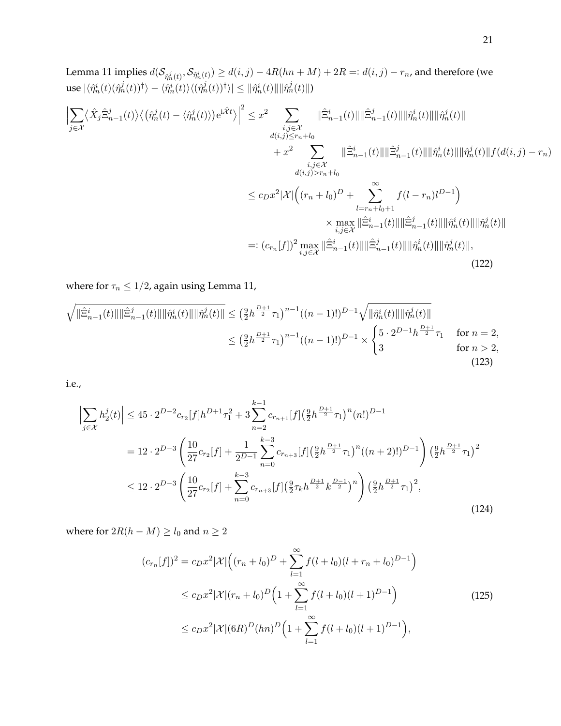Lemma 11 implies  $d(\mathcal{S}_{\hat{\eta}^j_n(t)},\mathcal{S}_{\hat{\eta}^i_n(t)})\geq d(i,j)-4R(hn+M)+2R=:d(i,j)-r_n$ , and therefore (we  $\text{use} \ |\langle \hat{\eta}^i_n(t)(\hat{\eta}^j_n(t))^\dagger\rangle - \langle \hat{\eta}^i_n(t)\rangle \langle (\hat{\eta}^j_n(t))^\dagger\rangle| \leq \| \hat{\eta}^i_n(t)\| \|\hat{\eta}^j_n(t)\|)$ 

$$
\left| \sum_{j \in \mathcal{X}} \langle \hat{X}_{j} \hat{\Xi}_{n-1}^{j}(t) \rangle \langle (\hat{\eta}_{n}^{j}(t) - \langle \hat{\eta}_{n}^{j}(t) \rangle) e^{i\hat{\mathcal{X}}t} \rangle \right|^{2} \leq x^{2} \sum_{\substack{i,j \in \mathcal{X} \\ d(i,j) \leq r_{n}+l_{0}}} \|\hat{\Xi}_{n-1}^{i}(t)\| \|\hat{\Xi}_{n-1}^{j}(t)\| \|\hat{\eta}_{n}^{j}(t)\| \|\hat{\eta}_{n}^{j}(t)\|
$$
  

$$
+ x^{2} \sum_{\substack{i,j \in \mathcal{X} \\ d(i,j) > r_{n}+l_{0}}} \|\hat{\Xi}_{n-1}^{i}(t)\| \|\hat{\Xi}_{n-1}^{j}(t)\| \|\hat{\eta}_{n}^{i}(t)\| \|\hat{\eta}_{n}^{j}(t)\| f(d(i,j) - r_{n})
$$
  

$$
\leq c_{D} x^{2} |\mathcal{X}| \Big( (r_{n} + l_{0})^{D} + \sum_{\substack{l=r_{n}+l_{0}+1 \\ i,j \in \mathcal{X}}}^{s} f(l-r_{n}) l^{D-1} \Big)
$$
  

$$
\times \max_{i,j \in \mathcal{X}} \|\hat{\Xi}_{n-1}^{i}(t)\| \|\hat{\Xi}_{n-1}^{j}(t)\| \|\hat{\eta}_{n}^{i}(t)\| \|\hat{\eta}_{n}^{j}(t)\|
$$
  

$$
=: (c_{r_{n}}[f])^{2} \max_{i,j \in \mathcal{X}} \|\hat{\Xi}_{n-1}^{i}(t)\| \|\hat{\Xi}_{n-1}^{j}(t)\| \|\hat{\eta}_{n}^{i}(t)\| \|\hat{\eta}_{n}^{j}(t)\|,
$$
  
(122)

where for  $\tau_n \leq 1/2$ , again using Lemma 11,

$$
\sqrt{\|\hat{\Xi}_{n-1}^{j}(t)\|\|\hat{\Xi}_{n-1}^{j}(t)\|\|\hat{\eta}_{n}^{j}(t)\|\|\hat{\eta}_{n}^{j}(t)\|} \leq \left(\frac{9}{2}h^{\frac{D+1}{2}}\tau_{1}\right)^{n-1}((n-1)!)^{D-1}\sqrt{\|\hat{\eta}_{n}^{j}(t)\|\|\hat{\eta}_{n}^{j}(t)\|}
$$
\n
$$
\leq \left(\frac{9}{2}h^{\frac{D+1}{2}}\tau_{1}\right)^{n-1}((n-1)!)^{D-1}\times\begin{cases}5\cdot 2^{D-1}h^{\frac{D+1}{2}}\tau_{1} & \text{for } n=2, \\ 3 & \text{for } n>2, \end{cases}
$$
\n(123)

i.e.,

$$
\left| \sum_{j \in \mathcal{X}} h_2^j(t) \right| \le 45 \cdot 2^{D-2} c_{r_2}[f] h^{D+1} \tau_1^2 + 3 \sum_{n=2}^{k-1} c_{r_{n+1}}[f] \left( \frac{9}{2} h^{\frac{D+1}{2}} \tau_1 \right)^n (n!)^{D-1}
$$
  
=  $12 \cdot 2^{D-3} \left( \frac{10}{27} c_{r_2}[f] + \frac{1}{2^{D-1}} \sum_{n=0}^{k-3} c_{r_{n+3}}[f] \left( \frac{9}{2} h^{\frac{D+1}{2}} \tau_1 \right)^n ((n+2)!)^{D-1} \right) \left( \frac{9}{2} h^{\frac{D+1}{2}} \tau_1 \right)^2$   
 $\le 12 \cdot 2^{D-3} \left( \frac{10}{27} c_{r_2}[f] + \sum_{n=0}^{k-3} c_{r_{n+3}}[f] \left( \frac{9}{2} \tau_k h^{\frac{D+1}{2}} k^{\frac{D-1}{2}} \right)^n \right) \left( \frac{9}{2} h^{\frac{D+1}{2}} \tau_1 \right)^2,$  (124)

where for  $2R(h - M) \ge l_0$  and  $n \ge 2$ 

$$
(c_{r_n}[f])^2 = c_D x^2 |\mathcal{X}| \Big( (r_n + l_0)^D + \sum_{l=1}^{\infty} f(l + l_0)(l + r_n + l_0)^{D-1} \Big)
$$
  
\n
$$
\leq c_D x^2 |\mathcal{X}| (r_n + l_0)^D \Big( 1 + \sum_{l=1}^{\infty} f(l + l_0)(l + 1)^{D-1} \Big)
$$
  
\n
$$
\leq c_D x^2 |\mathcal{X}| (6R)^D (hn)^D \Big( 1 + \sum_{l=1}^{\infty} f(l + l_0)(l + 1)^{D-1} \Big),
$$
\n(125)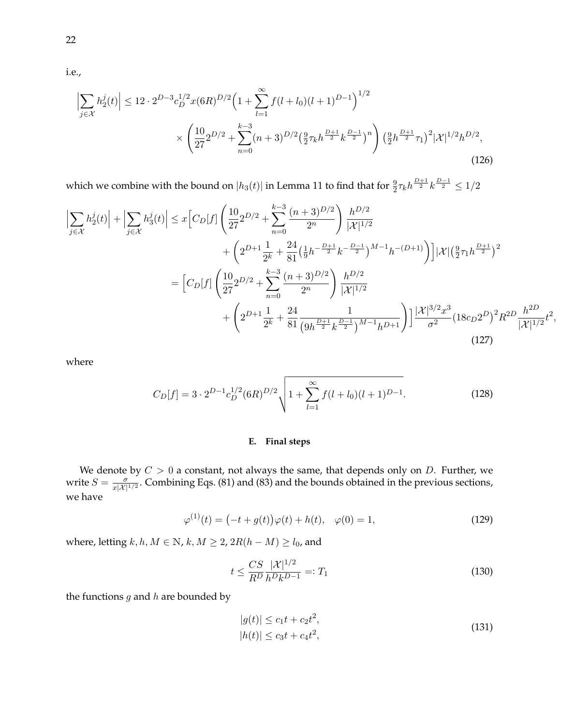i.e.,

$$
\left| \sum_{j \in \mathcal{X}} h_2^j(t) \right| \le 12 \cdot 2^{D-3} c_D^{1/2} x (6R)^{D/2} \left( 1 + \sum_{l=1}^{\infty} f(l+l_0)(l+1)^{D-1} \right)^{1/2} \times \left( \frac{10}{27} 2^{D/2} + \sum_{n=0}^{k-3} (n+3)^{D/2} \left( \frac{9}{2} \tau_k h^{\frac{D+1}{2}} k^{\frac{D-1}{2}} \right)^n \right) \left( \frac{9}{2} h^{\frac{D+1}{2}} \tau_1 \right)^2 |\mathcal{X}|^{1/2} h^{D/2},\tag{126}
$$

which we combine with the bound on  $|h_3(t)|$  in Lemma 11 to find that for  $\frac{9}{2}\tau_k h^{\frac{D+1}{2}}k^{\frac{D-1}{2}}\leq 1/2$ 

$$
\left| \sum_{j \in \mathcal{X}} h_2^j(t) \right| + \left| \sum_{j \in \mathcal{X}} h_3^j(t) \right| \leq x \left[ C_D[f] \left( \frac{10}{27} 2^{D/2} + \sum_{n=0}^{k-3} \frac{(n+3)^{D/2}}{2^n} \right) \frac{h^{D/2}}{|\mathcal{X}|^{1/2}} + \left( 2^{D+1} \frac{1}{2^k} + \frac{24}{81} \left( \frac{1}{9} h^{-\frac{D+1}{2}} k^{-\frac{D-1}{2}} \right)^{M-1} h^{-(D+1)} \right) \right] |\mathcal{X}| \left( \frac{9}{2} \tau_1 h^{\frac{D+1}{2}} \right)^2
$$

$$
= \left[ C_D[f] \left( \frac{10}{27} 2^{D/2} + \sum_{n=0}^{k-3} \frac{(n+3)^{D/2}}{2^n} \right) \frac{h^{D/2}}{|\mathcal{X}|^{1/2}} + \left( 2^{D+1} \frac{1}{2^k} + \frac{24}{81} \frac{1}{(9h^{\frac{D+1}{2}} k^{\frac{D-1}{2}})^{M-1} h^{D+1}} \right) \right] \frac{|\mathcal{X}|^{3/2} x^3}{\sigma^2} (18c_D 2^D)^2 R^{2D} \frac{h^{2D}}{|\mathcal{X}|^{1/2}} t^2,
$$
(127)

where

$$
C_D[f] = 3 \cdot 2^{D-1} c_D^{1/2} (6R)^{D/2} \sqrt{1 + \sum_{l=1}^{\infty} f(l+l_0)(l+1)^{D-1}}.
$$
 (128)

### **E. Final steps**

We denote by  $C > 0$  a constant, not always the same, that depends only on  $D$ . Further, we write  $S = \frac{\sigma}{x|X|}$  $\frac{\sigma}{x|\mathcal{X}|^{1/2}}$ . Combining Eqs. (81) and (83) and the bounds obtained in the previous sections, we have

$$
\varphi^{(1)}(t) = \left(-t + g(t)\right)\varphi(t) + h(t), \quad \varphi(0) = 1,\tag{129}
$$

where, letting  $k, h, M \in \mathbb{N}$ ,  $k, M \ge 2$ ,  $2R(h - M) \ge l_0$ , and

$$
t \le \frac{CS}{R^D} \frac{|\mathcal{X}|^{1/2}}{h^D k^{D-1}} =: T_1 \tag{130}
$$

the functions  $g$  and  $h$  are bounded by

$$
|g(t)| \le c_1 t + c_2 t^2,
$$
  
\n
$$
|h(t)| \le c_3 t + c_4 t^2,
$$
\n(131)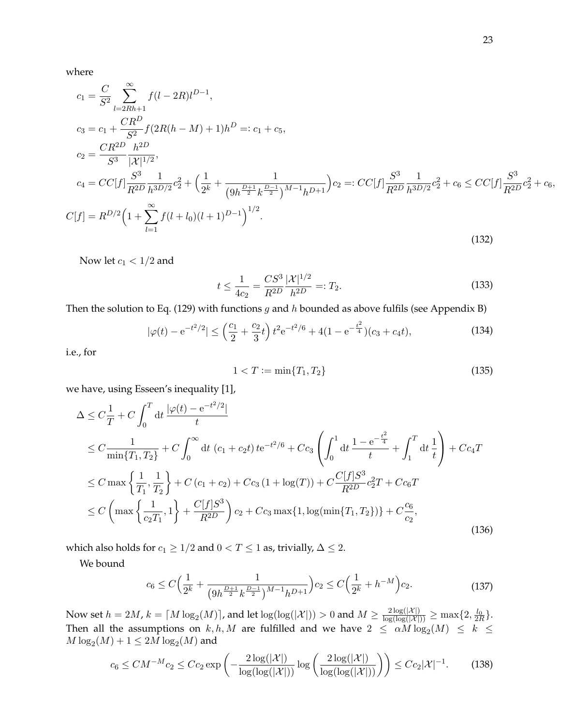where

$$
c_{1} = \frac{C}{S^{2}} \sum_{l=2Rh+1}^{\infty} f(l-2R)l^{D-1},
$$
  
\n
$$
c_{3} = c_{1} + \frac{CR^{D}}{S^{2}} f(2R(h-M) + 1)h^{D} =: c_{1} + c_{5},
$$
  
\n
$$
c_{2} = \frac{CR^{2D}}{S^{3}} \frac{h^{2D}}{|\mathcal{X}|^{1/2}},
$$
  
\n
$$
c_{4} = CC[f] \frac{S^{3}}{R^{2D}} \frac{1}{h^{3D/2}} c_{2}^{2} + \left(\frac{1}{2^{k}} + \frac{1}{(9h^{\frac{D+1}{2}}k^{\frac{D-1}{2}})^{M-1}h^{D+1}}\right)c_{2} =: CC[f] \frac{S^{3}}{R^{2D}} \frac{1}{h^{3D/2}} c_{2}^{2} + c_{6} \le CC[f] \frac{S^{3}}{R^{2D}} c_{2}^{2} + c_{6},
$$
  
\n
$$
C[f] = R^{D/2} \left(1 + \sum_{l=1}^{\infty} f(l+l_{0})(l+1)^{D-1}\right)^{1/2}.
$$
\n(132)

Now let  $c_1 < 1/2$  and

$$
t \le \frac{1}{4c_2} = \frac{CS^3}{R^{2D}} \frac{|\mathcal{X}|^{1/2}}{h^{2D}} =: T_2.
$$
 (133)

Then the solution to Eq. (129) with functions  $g$  and  $h$  bounded as above fulfils (see Appendix B)

$$
|\varphi(t) - e^{-t^2/2}| \le \left(\frac{c_1}{2} + \frac{c_2}{3}t\right)t^2 e^{-t^2/6} + 4(1 - e^{-\frac{t^2}{4}})(c_3 + c_4t),\tag{134}
$$

i.e., for

$$
1 < T := \min\{T_1, T_2\} \tag{135}
$$

we have, using Esseen's inequality [1],

$$
\Delta \leq C \frac{1}{T} + C \int_0^T dt \frac{|\varphi(t) - e^{-t^2/2}|}{t}
$$
  
\n
$$
\leq C \frac{1}{\min\{T_1, T_2\}} + C \int_0^\infty dt \ (c_1 + c_2 t) t e^{-t^2/6} + C c_3 \left( \int_0^1 dt \frac{1 - e^{-\frac{t^2}{4}}}{t} + \int_1^T dt \frac{1}{t} \right) + C c_4 T
$$
  
\n
$$
\leq C \max \left\{ \frac{1}{T_1}, \frac{1}{T_2} \right\} + C (c_1 + c_2) + C c_3 (1 + \log(T)) + C \frac{C[f] S^3}{R^{2D}} c_2^2 T + C c_6 T
$$
  
\n
$$
\leq C \left( \max \left\{ \frac{1}{c_2 T_1}, 1 \right\} + \frac{C[f] S^3}{R^{2D}} \right) c_2 + C c_3 \max\{1, \log(\min\{T_1, T_2\})\} + C \frac{c_6}{c_2},
$$
\n(136)

which also holds for  $c_1 \geq 1/2$  and  $0 < T \leq 1$  as, trivially,  $\Delta \leq 2$ .

We bound

$$
c_6 \le C\Big(\frac{1}{2^k} + \frac{1}{\left(9h^{\frac{D+1}{2}}k^{\frac{D-1}{2}}\right)^{M-1}h^{D+1}}\Big)c_2 \le C\Big(\frac{1}{2^k} + h^{-M}\Big)c_2.
$$
 (137)

Now set  $h=2M$ ,  $k=\lceil M\log_2(M)\rceil$ , and let  $\log(\log(|\mathcal{X}|))>0$  and  $M\geq \frac{2\log(|\mathcal{X}|)}{\log(\log(|\mathcal{X}|))} \geq \max\{2,\frac{l_0}{2R}\}.$ Then all the assumptions on  $k, h, M$  are fulfilled and we have  $2 \le \alpha M \log_2(M) \le k \le$  $M\log_2(M) + 1 \leq 2M\log_2(M)$  and

$$
c_6 \le CM^{-M}c_2 \le Cc_2 \exp\left(-\frac{2\log(|\mathcal{X}|)}{\log(\log(|\mathcal{X}|))}\log\left(\frac{2\log(|\mathcal{X}|)}{\log(\log(|\mathcal{X}|))}\right)\right) \le Cc_2|\mathcal{X}|^{-1}.\tag{138}
$$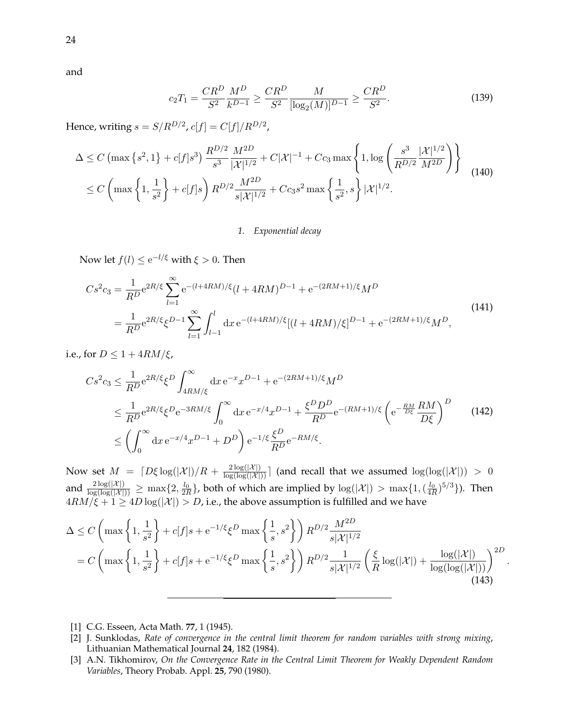and

$$
c_2 T_1 = \frac{CR^D}{S^2} \frac{M^D}{k^{D-1}} \ge \frac{CR^D}{S^2} \frac{M}{[\log_2(M)]^{D-1}} \ge \frac{CR^D}{S^2}.
$$
 (139)

Hence, writing  $s = S/R^{D/2}$ ,  $c[f] = C[f]/R^{D/2}$ ,

$$
\Delta \le C \left( \max \left\{ s^2, 1 \right\} + c[f] s^3 \right) \frac{R^{D/2}}{s^3} \frac{M^{2D}}{|\mathcal{X}|^{1/2}} + C|\mathcal{X}|^{-1} + Cc_3 \max \left\{ 1, \log \left( \frac{s^3}{R^{D/2}} \frac{|\mathcal{X}|^{1/2}}{M^{2D}} \right) \right\} \right\}
$$
\n
$$
\le C \left( \max \left\{ 1, \frac{1}{s^2} \right\} + c[f] s \right) R^{D/2} \frac{M^{2D}}{s |\mathcal{X}|^{1/2}} + Cc_3 s^2 \max \left\{ \frac{1}{s^2}, s \right\} |\mathcal{X}|^{1/2}.
$$
\n(140)

#### *1. Exponential decay*

Now let  $f(l) \leq e^{-l/\xi}$  with  $\xi > 0$ . Then

$$
Cs^{2}c_{3} = \frac{1}{R^{D}}e^{2R/\xi} \sum_{l=1}^{\infty} e^{-(l+4RM)/\xi} (l+4RM)^{D-1} + e^{-(2RM+1)/\xi} M^{D}
$$
  
= 
$$
\frac{1}{R^{D}}e^{2R/\xi} \xi^{D-1} \sum_{l=1}^{\infty} \int_{l-1}^{l} dx e^{-(l+4RM)/\xi} [(l+4RM)/\xi]^{D-1} + e^{-(2RM+1)/\xi} M^{D},
$$
(141)

i.e., for  $D \leq 1 + 4RM/\xi$ ,

$$
Cs^{2}c_{3} \leq \frac{1}{R^{D}} e^{2R/\xi} \xi^{D} \int_{4RM/\xi}^{\infty} dx e^{-x} x^{D-1} + e^{-(2RM+1)/\xi} M^{D}
$$
  
\n
$$
\leq \frac{1}{R^{D}} e^{2R/\xi} \xi^{D} e^{-3RM/\xi} \int_{0}^{\infty} dx e^{-x/4} x^{D-1} + \frac{\xi^{D} D^{D}}{R^{D}} e^{-(RM+1)/\xi} \left( e^{-\frac{RM}{D\xi}} \frac{RM}{D\xi} \right)^{D}
$$
(142)  
\n
$$
\leq \left( \int_{0}^{\infty} dx e^{-x/4} x^{D-1} + D^{D} \right) e^{-1/\xi} \frac{\xi^{D}}{R^{D}} e^{-RM/\xi}.
$$

Now set  $M = \lceil D\xi \log(|\mathcal{X}|)/R + \frac{2 \log(|\mathcal{X}|)}{\log(\log(|\mathcal{X}|))}\rceil$  (and recall that we assumed  $\log(\log(|\mathcal{X}|)) > 0$ and  $\frac{2\log(|\mathcal{X}|)}{\log(\log(|\mathcal{X}|))} \ge \max\{2, \frac{l_0}{2R}\}$ , both of which are implied by  $\log(|\mathcal{X}|) > \max\{1, (\frac{l_0}{4R})^{5/3}\}$ ). Then  $4RM/\xi+1\geq 4D\log(|\mathcal{X}|)>D$ , i.e., the above assumption is fulfilled and we have

$$
\Delta \le C \left( \max \left\{ 1, \frac{1}{s^2} \right\} + c[f]s + e^{-1/\xi} \xi^D \max \left\{ \frac{1}{s}, s^2 \right\} \right) R^{D/2} \frac{M^{2D}}{s |\mathcal{X}|^{1/2}}
$$
  
=  $C \left( \max \left\{ 1, \frac{1}{s^2} \right\} + c[f]s + e^{-1/\xi} \xi^D \max \left\{ \frac{1}{s}, s^2 \right\} \right) R^{D/2} \frac{1}{s |\mathcal{X}|^{1/2}} \left( \frac{\xi}{R} \log(|\mathcal{X}|) + \frac{\log(|\mathcal{X}|)}{\log(\log(|\mathcal{X}|))} \right)^{2D} (143)$ 

.

[1] C.G. Esseen, Acta Math. **77**, 1 (1945).

<sup>[2]</sup> J. Sunklodas, *Rate of convergence in the central limit theorem for random variables with strong mixing*, Lithuanian Mathematical Journal **24**, 182 (1984).

<sup>[3]</sup> A.N. Tikhomirov, *On the Convergence Rate in the Central Limit Theorem for Weakly Dependent Random Variables*, Theory Probab. Appl. **25**, 790 (1980).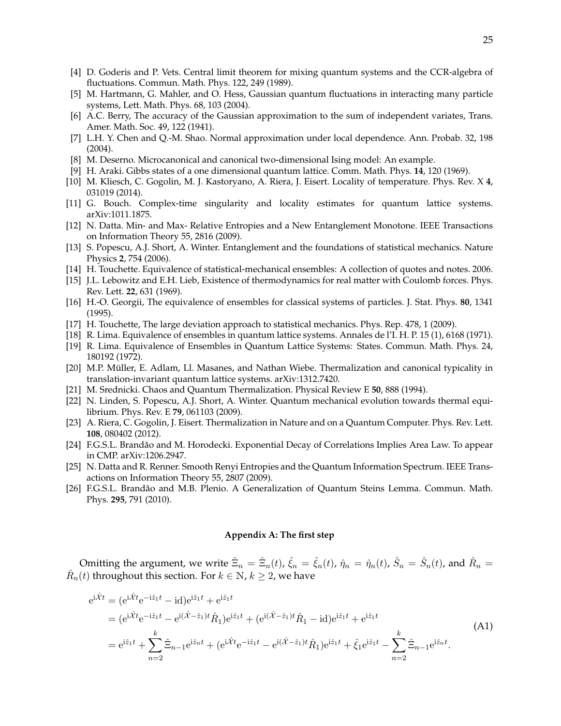- [4] D. Goderis and P. Vets. Central limit theorem for mixing quantum systems and the CCR-algebra of fluctuations. Commun. Math. Phys. 122, 249 (1989).
- [5] M. Hartmann, G. Mahler, and O. Hess, Gaussian quantum fluctuations in interacting many particle systems, Lett. Math. Phys. 68, 103 (2004).
- [6] A.C. Berry, The accuracy of the Gaussian approximation to the sum of independent variates, Trans. Amer. Math. Soc. 49, 122 (1941).
- [7] L.H. Y. Chen and Q.-M. Shao. Normal approximation under local dependence. Ann. Probab. 32, 198 (2004).
- [8] M. Deserno. Microcanonical and canonical two-dimensional Ising model: An example.
- [9] H. Araki. Gibbs states of a one dimensional quantum lattice. Comm. Math. Phys. **14**, 120 (1969).
- [10] M. Kliesch, C. Gogolin, M. J. Kastoryano, A. Riera, J. Eisert. Locality of temperature. Phys. Rev. X **4**, 031019 (2014).
- [11] G. Bouch. Complex-time singularity and locality estimates for quantum lattice systems. arXiv:1011.1875.
- [12] N. Datta. Min- and Max- Relative Entropies and a New Entanglement Monotone. IEEE Transactions on Information Theory 55, 2816 (2009).
- [13] S. Popescu, A.J. Short, A. Winter. Entanglement and the foundations of statistical mechanics. Nature Physics **2**, 754 (2006).
- [14] H. Touchette. Equivalence of statistical-mechanical ensembles: A collection of quotes and notes. 2006.
- [15] J.L. Lebowitz and E.H. Lieb, Existence of thermodynamics for real matter with Coulomb forces. Phys. Rev. Lett. **22**, 631 (1969).
- [16] H.-O. Georgii, The equivalence of ensembles for classical systems of particles. J. Stat. Phys. **80**, 1341 (1995).
- [17] H. Touchette, The large deviation approach to statistical mechanics. Phys. Rep. 478, 1 (2009).
- [18] R. Lima. Equivalence of ensembles in quantum lattice systems. Annales de l'I. H. P. 15 (1), 6168 (1971).
- [19] R. Lima. Equivalence of Ensembles in Quantum Lattice Systems: States. Commun. Math. Phys. 24, 180192 (1972).
- [20] M.P. Müller, E. Adlam, Ll. Masanes, and Nathan Wiebe. Thermalization and canonical typicality in translation-invariant quantum lattice systems. arXiv:1312.7420.
- [21] M. Srednicki. Chaos and Quantum Thermalization. Physical Review E **50**, 888 (1994).
- [22] N. Linden, S. Popescu, A.J. Short, A. Winter. Quantum mechanical evolution towards thermal equilibrium. Phys. Rev. E **79**, 061103 (2009).
- [23] A. Riera, C. Gogolin, J. Eisert. Thermalization in Nature and on a Quantum Computer. Phys. Rev. Lett. **108**, 080402 (2012).
- [24] F.G.S.L. Brandão and M. Horodecki. Exponential Decay of Correlations Implies Area Law. To appear in CMP. arXiv:1206.2947.
- [25] N. Datta and R. Renner. Smooth Renyi Entropies and the Quantum Information Spectrum. IEEE Transactions on Information Theory 55, 2807 (2009).
- [26] F.G.S.L. Brandão and M.B. Plenio. A Generalization of Quantum Steins Lemma. Commun. Math. Phys. **295**, 791 (2010).

#### **Appendix A: The first step**

Omitting the argument, we write  $\hat{\Xi}_n = \hat{\Xi}_n(t)$ ,  $\hat{\zeta}_n = \hat{\zeta}_n(t)$ ,  $\hat{\eta}_n = \hat{\eta}_n(t)$ ,  $\hat{S}_n = \hat{S}_n(t)$ , and  $\hat{R}_n =$  $\hat{R}_n(t)$  throughout this section. For  $k \in \mathbb{N}$ ,  $k \ge 2$ , we have

$$
e^{i\hat{X}t} = (e^{i\hat{X}t}e^{-i\hat{z}_1t} - id)e^{i\hat{z}_1t} + e^{i\hat{z}_1t}
$$
  
\n
$$
= (e^{i\hat{X}t}e^{-i\hat{z}_1t} - e^{i(\hat{X}-\hat{z}_1)t}\hat{R}_1)e^{i\hat{z}_1t} + (e^{i(\hat{X}-\hat{z}_1)t}\hat{R}_1 - id)e^{i\hat{z}_1t} + e^{i\hat{z}_1t}
$$
  
\n
$$
= e^{i\hat{z}_1t} + \sum_{n=2}^k \hat{\Xi}_{n-1}e^{i\hat{z}_nt} + (e^{i\hat{X}t}e^{-i\hat{z}_1t} - e^{i(\hat{X}-\hat{z}_1)t}\hat{R}_1)e^{i\hat{z}_1t} + \hat{\xi}_1e^{i\hat{z}_1t} - \sum_{n=2}^k \hat{\Xi}_{n-1}e^{i\hat{z}_nt}.
$$
\n(A1)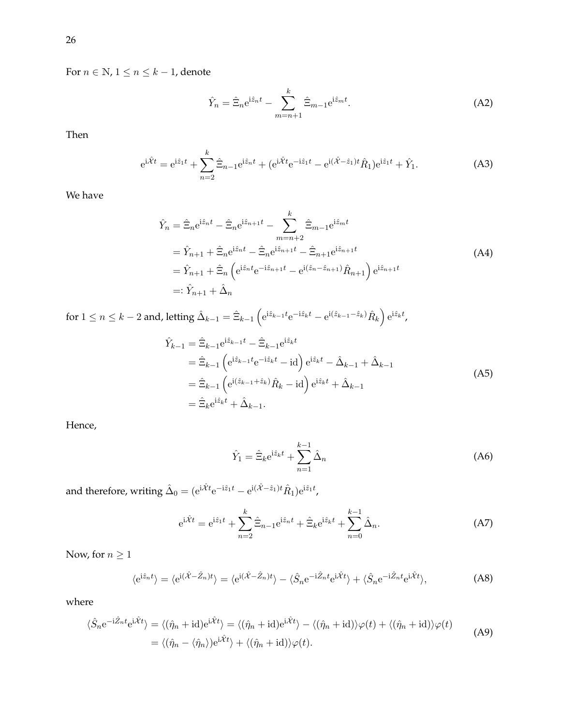For  $n \in \mathbb{N}$ ,  $1 \le n \le k-1$ , denote

$$
\hat{Y}_n = \hat{\Xi}_n e^{i\hat{z}_n t} - \sum_{m=n+1}^k \hat{\Xi}_{m-1} e^{i\hat{z}_m t}.
$$
\n(A2)

Then

$$
e^{i\hat{X}t} = e^{i\hat{z}_1t} + \sum_{n=2}^{k} \hat{\Xi}_{n-1} e^{i\hat{z}_n t} + (e^{i\hat{X}t} e^{-i\hat{z}_1 t} - e^{i(\hat{X} - \hat{z}_1)t} \hat{R}_1) e^{i\hat{z}_1 t} + \hat{Y}_1.
$$
 (A3)

We have

$$
\hat{Y}_n = \hat{\Xi}_n e^{i\hat{z}_n t} - \hat{\Xi}_n e^{i\hat{z}_{n+1}t} - \sum_{m=n+2}^k \hat{\Xi}_{m-1} e^{i\hat{z}_m t} \n= \hat{Y}_{n+1} + \hat{\Xi}_n e^{i\hat{z}_n t} - \hat{\Xi}_n e^{i\hat{z}_{n+1}t} - \hat{\Xi}_{n+1} e^{i\hat{z}_{n+1}t} \n= \hat{Y}_{n+1} + \hat{\Xi}_n \left( e^{i\hat{z}_n t} e^{-i\hat{z}_{n+1}t} - e^{i(\hat{z}_n - \hat{z}_{n+1})} \hat{R}_{n+1} \right) e^{i\hat{z}_{n+1}t} \n=: \hat{Y}_{n+1} + \hat{\Delta}_n
$$
\n(A4)

 $\hbox{for}\ 1\leq n\leq k-2\hbox{ and, letting }\hat{\Delta}_{k-1}=\hat{\Xi}_{k-1}\left(\mathrm{e}^{\mathrm{i}\hat{z}_{k-1}t}\mathrm{e}^{-\mathrm{i}\hat{z}_{k}t}-\mathrm{e}^{\mathrm{i}(\hat{z}_{k-1}-\hat{z}_{k})}\hat{R}_{k}\right)\mathrm{e}^{\mathrm{i}\hat{z}_{k}t},$ 

$$
\hat{Y}_{k-1} = \hat{\Xi}_{k-1} e^{i\hat{z}_{k-1}t} - \hat{\Xi}_{k-1} e^{i\hat{z}_k t} \n= \hat{\Xi}_{k-1} \left( e^{i\hat{z}_{k-1}t} e^{-i\hat{z}_k t} - id \right) e^{i\hat{z}_k t} - \hat{\Delta}_{k-1} + \hat{\Delta}_{k-1} \n= \hat{\Xi}_{k-1} \left( e^{i(\hat{z}_{k-1} + \hat{z}_k)} \hat{R}_k - id \right) e^{i\hat{z}_k t} + \hat{\Delta}_{k-1} \n= \hat{\Xi}_k e^{i\hat{z}_k t} + \hat{\Delta}_{k-1}.
$$
\n(A5)

Hence,

$$
\hat{Y}_1 = \hat{\Xi}_k e^{i\hat{z}_k t} + \sum_{n=1}^{k-1} \hat{\Delta}_n
$$
\n(A6)

and therefore, writing  $\hat{\Delta}_0 = (\mathrm{e}^{\mathrm{i}\hat{\mathcal{X}}t} \mathrm{e}^{-\mathrm{i}\hat{z}_1 t} - \mathrm{e}^{\mathrm{i}(\hat{\mathcal{X}}-\hat{z}_1)t} \hat{R}_1) \mathrm{e}^{\mathrm{i}\hat{z}_1 t}$ ,

$$
e^{i\hat{X}t} = e^{i\hat{z}_1t} + \sum_{n=2}^{k} \hat{\Xi}_{n-1} e^{i\hat{z}_n t} + \hat{\Xi}_k e^{i\hat{z}_k t} + \sum_{n=0}^{k-1} \hat{\Delta}_n.
$$
 (A7)

Now, for  $n\geq 1$ 

$$
\langle e^{i\hat{z}_n t} \rangle = \langle e^{i(\hat{X} - \hat{Z}_n)t} \rangle = \langle e^{i(\hat{X} - \hat{Z}_n)t} \rangle - \langle \hat{S}_n e^{-i\hat{Z}_n t} e^{i\hat{X}t} \rangle + \langle \hat{S}_n e^{-i\hat{Z}_n t} e^{i\hat{X}t} \rangle, \tag{A8}
$$

where

$$
\langle \hat{S}_n e^{-i\hat{Z}_n t} e^{i\hat{X}t} \rangle = \langle (\hat{\eta}_n + id) e^{i\hat{X}t} \rangle = \langle (\hat{\eta}_n + id) e^{i\hat{X}t} \rangle - \langle (\hat{\eta}_n + id) \rangle \varphi(t) + \langle (\hat{\eta}_n + id) \rangle \varphi(t)
$$
  
=  $\langle (\hat{\eta}_n - \langle \hat{\eta}_n \rangle) e^{i\hat{X}t} \rangle + \langle (\hat{\eta}_n + id) \rangle \varphi(t).$  (A9)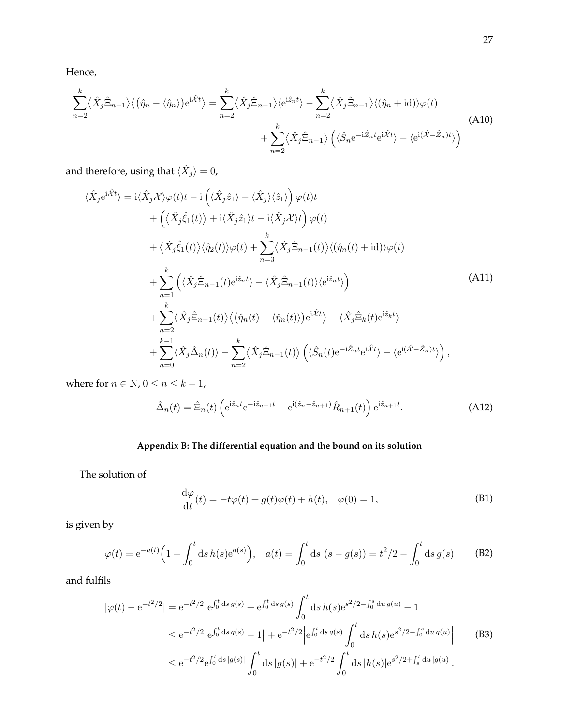Hence,

$$
\sum_{n=2}^{k} \langle \hat{X}_{j} \hat{\Xi}_{n-1} \rangle \langle (\hat{\eta}_{n} - \langle \hat{\eta}_{n} \rangle) e^{i\hat{\mathcal{X}}t} \rangle = \sum_{n=2}^{k} \langle \hat{X}_{j} \hat{\Xi}_{n-1} \rangle \langle e^{i\hat{z}_{n}t} \rangle - \sum_{n=2}^{k} \langle \hat{X}_{j} \hat{\Xi}_{n-1} \rangle \langle (\hat{\eta}_{n} + id) \rangle \varphi(t) + \sum_{n=2}^{k} \langle \hat{X}_{j} \hat{\Xi}_{n-1} \rangle \left( \langle \hat{S}_{n} e^{-i\hat{Z}_{n}t} e^{i\hat{X}t} \rangle - \langle e^{i(\hat{X} - \hat{Z}_{n})t} \rangle \right)
$$
(A10)

and therefore, using that  $\langle \hat{X}_j \rangle = 0$ ,

$$
\langle \hat{X}_j e^{i\hat{X}t} \rangle = i \langle \hat{X}_j \mathcal{X} \rangle \varphi(t) t - i \left( \langle \hat{X}_j \hat{z}_1 \rangle - \langle \hat{X}_j \rangle \langle \hat{z}_1 \rangle \right) \varphi(t) t \n+ \left( \langle \hat{X}_j \hat{\xi}_1(t) \rangle + i \langle \hat{X}_j \hat{z}_1 \rangle t - i \langle \hat{X}_j \mathcal{X} \rangle t \right) \varphi(t) \n+ \langle \hat{X}_j \hat{\xi}_1(t) \rangle \langle \hat{\eta}_2(t) \rangle \varphi(t) + \sum_{n=3}^k \langle \hat{X}_j \hat{\Xi}_{n-1}(t) \rangle \langle (\hat{\eta}_n(t) + id) \rangle \varphi(t) \n+ \sum_{n=1}^k \left( \langle \hat{X}_j \hat{\Xi}_{n-1}(t) e^{i\hat{z}_n t} \rangle - \langle \hat{X}_j \hat{\Xi}_{n-1}(t) \rangle \langle e^{i\hat{z}_n t} \rangle \right) \n+ \sum_{n=2}^k \langle \hat{X}_j \hat{\Xi}_{n-1}(t) \rangle \langle (\hat{\eta}_n(t) - \langle \hat{\eta}_n(t) \rangle) e^{i\hat{X}t} \rangle + \langle \hat{X}_j \hat{\Xi}_k(t) e^{i\hat{z}_k t} \rangle \n+ \sum_{n=0}^{k-1} \langle \hat{X}_j \hat{\Delta}_n(t) \rangle - \sum_{n=2}^k \langle \hat{X}_j \hat{\Xi}_{n-1}(t) \rangle \left( \langle \hat{S}_n(t) e^{-i\hat{Z}_n t} e^{i\hat{X}t} \rangle - \langle e^{i(\hat{X} - \hat{Z}_n)t} \rangle \right),
$$
\n(A11)

where for  $n\in\mathbb{N}$  ,  $0\leq n\leq k-1$  ,

$$
\hat{\Delta}_n(t) = \hat{\Xi}_n(t) \left( e^{i\hat{z}_n t} e^{-i\hat{z}_{n+1}t} - e^{i(\hat{z}_n - \hat{z}_{n+1})} \hat{R}_{n+1}(t) \right) e^{i\hat{z}_{n+1}t}.
$$
\n(A12)

## **Appendix B: The differential equation and the bound on its solution**

The solution of

$$
\frac{d\varphi}{dt}(t) = -t\varphi(t) + g(t)\varphi(t) + h(t), \quad \varphi(0) = 1,
$$
\n(B1)

is given by

$$
\varphi(t) = e^{-a(t)} \Big( 1 + \int_0^t ds \, h(s) e^{a(s)} \Big), \quad a(t) = \int_0^t ds \, (s - g(s)) = t^2 / 2 - \int_0^t ds \, g(s) \tag{B2}
$$

and fulfils

$$
|\varphi(t) - e^{-t^2/2}| = e^{-t^2/2} |e^{\int_0^t ds g(s)} + e^{\int_0^t ds g(s)} \int_0^t ds h(s) e^{s^2/2 - \int_0^s du g(u)} - 1|
$$
  
\n
$$
\leq e^{-t^2/2} |e^{\int_0^t ds g(s)} - 1| + e^{-t^2/2} |e^{\int_0^t ds g(s)} \int_0^t ds h(s) e^{s^2/2 - \int_0^s du g(u)} | \qquad (B3)
$$
  
\n
$$
\leq e^{-t^2/2} e^{\int_0^t ds |g(s)|} \int_0^t ds |g(s)| + e^{-t^2/2} \int_0^t ds |h(s)| e^{s^2/2 + \int_s^t du |g(u)|} .
$$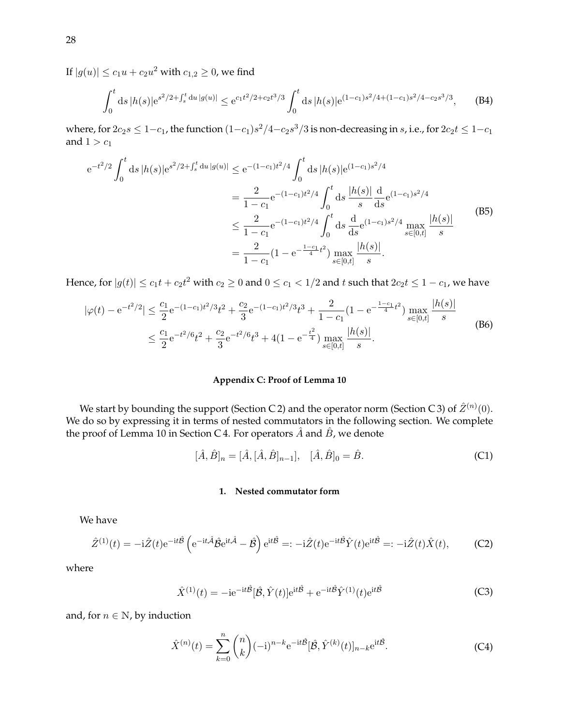If  $|g(u)| \leq c_1 u + c_2 u^2$  with  $c_{1,2} \geq 0$ , we find

$$
\int_0^t ds |h(s)| e^{s^2/2 + \int_s^t du |g(u)|} \le e^{c_1 t^2/2 + c_2 t^3/3} \int_0^t ds |h(s)| e^{(1-c_1)s^2/4 + (1-c_1)s^2/4 - c_2 s^3/3}, \quad (B4)
$$

where, for  $2c_2s\leq 1-c_1$ , the function  $(1-c_1)s^2/4-c_2s^3/3$  is non-decreasing in  $s$ , i.e., for  $2c_2t\leq 1-c_1$ and  $1 > c_1$ 

$$
e^{-t^{2}/2} \int_{0}^{t} ds |h(s)| e^{s^{2}/2 + \int_{s}^{t} du |g(u)|} \leq e^{-(1-c_{1})t^{2}/4} \int_{0}^{t} ds |h(s)| e^{(1-c_{1})s^{2}/4}
$$
  
\n
$$
= \frac{2}{1-c_{1}} e^{-(1-c_{1})t^{2}/4} \int_{0}^{t} ds \frac{|h(s)|}{s} \frac{d}{ds} e^{(1-c_{1})s^{2}/4}
$$
  
\n
$$
\leq \frac{2}{1-c_{1}} e^{-(1-c_{1})t^{2}/4} \int_{0}^{t} ds \frac{d}{ds} e^{(1-c_{1})s^{2}/4} \max_{s \in [0,t]} \frac{|h(s)|}{s}
$$
  
\n(B5)  
\n
$$
= \frac{2}{1-c_{1}} (1 - e^{-\frac{1-c_{1}}{4}t^{2}}) \max_{s \in [0,t]} \frac{|h(s)|}{s}.
$$

Hence, for  $|g(t)|\leq c_1 t+c_2t^2$  with  $c_2\geq 0$  and  $0\leq c_1 < 1/2$  and  $t$  such that  $2c_2t\leq 1-c_1$ , we have

$$
|\varphi(t) - e^{-t^2/2}| \le \frac{c_1}{2} e^{-(1-c_1)t^2/3} t^2 + \frac{c_2}{3} e^{-(1-c_1)t^2/3} t^3 + \frac{2}{1-c_1} (1 - e^{-\frac{1-c_1}{4}t^2}) \max_{s \in [0,t]} \frac{|h(s)|}{s}
$$
  
 
$$
\le \frac{c_1}{2} e^{-t^2/6} t^2 + \frac{c_2}{3} e^{-t^2/6} t^3 + 4(1 - e^{-\frac{t^2}{4}}) \max_{s \in [0,t]} \frac{|h(s)|}{s}.
$$
 (B6)

## **Appendix C: Proof of Lemma 10**

We start by bounding the support (Section C 2) and the operator norm (Section C 3) of  $\hat{Z}^{(n)}(0)$ . We do so by expressing it in terms of nested commutators in the following section. We complete the proof of Lemma 10 in Section C 4. For operators  $\hat{A}$  and  $\hat{B}$ , we denote

$$
[\hat{A}, \hat{B}]_n = [\hat{A}, [\hat{A}, \hat{B}]_{n-1}], \quad [\hat{A}, \hat{B}]_0 = \hat{B}.
$$
 (C1)

#### **1. Nested commutator form**

We have

$$
\hat{Z}^{(1)}(t) = -i\hat{Z}(t)e^{-it\hat{\mathcal{B}}}\left(e^{-it\hat{\mathcal{A}}}\hat{\mathcal{B}}e^{it\hat{\mathcal{A}}}-\hat{\mathcal{B}}\right)e^{it\hat{\mathcal{B}}} =: -i\hat{Z}(t)e^{-it\hat{\mathcal{B}}}\hat{Y}(t)e^{it\hat{\mathcal{B}}} =: -i\hat{Z}(t)\hat{X}(t),\tag{C2}
$$

where

$$
\hat{X}^{(1)}(t) = -ie^{-it\hat{\mathcal{B}}}[\hat{\mathcal{B}}, \hat{Y}(t)]e^{it\hat{\mathcal{B}}} + e^{-it\hat{\mathcal{B}}} \hat{Y}^{(1)}(t)e^{it\hat{\mathcal{B}}}
$$
(C3)

and, for  $n \in \mathbb{N}$ , by induction

$$
\hat{X}^{(n)}(t) = \sum_{k=0}^{n} {n \choose k} (-i)^{n-k} e^{-it\hat{\mathcal{B}}} [\hat{\mathcal{B}}, \hat{Y}^{(k)}(t)]_{n-k} e^{it\hat{\mathcal{B}}}.
$$
 (C4)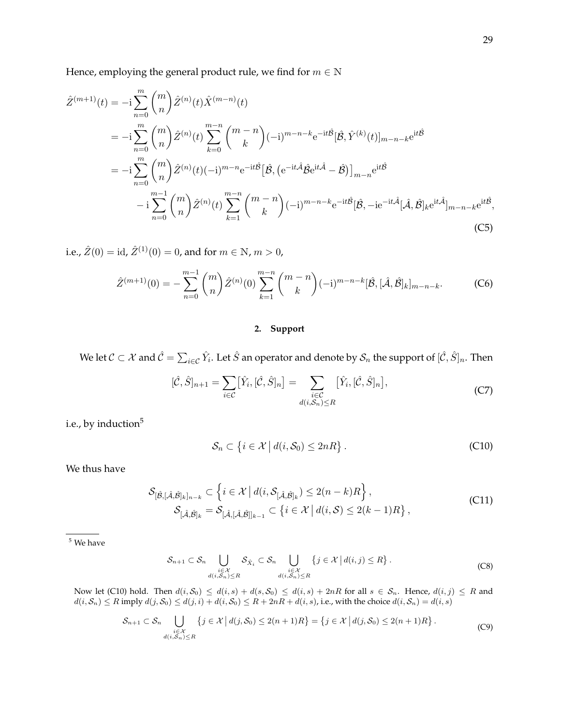Hence, employing the general product rule, we find for  $m \in \mathbb{N}$ 

$$
\hat{Z}^{(m+1)}(t) = -i \sum_{n=0}^{m} {m \choose n} \hat{Z}^{(n)}(t) \hat{X}^{(m-n)}(t)
$$
\n
$$
= -i \sum_{n=0}^{m} {m \choose n} \hat{Z}^{(n)}(t) \sum_{k=0}^{m-n} {m-n \choose k} (-i)^{m-n-k} e^{-it\hat{\beta}} [\hat{\beta}, \hat{Y}^{(k)}(t)]_{m-n-k} e^{it\hat{\beta}}
$$
\n
$$
= -i \sum_{n=0}^{m} {m \choose n} \hat{Z}^{(n)}(t) (-i)^{m-n} e^{-it\hat{\beta}} [\hat{\beta}, (e^{-it\hat{A}}\hat{\beta}e^{it\hat{A}} - \hat{\beta})]_{m-n} e^{it\hat{\beta}}
$$
\n
$$
-i \sum_{n=0}^{m-1} {m \choose n} \hat{Z}^{(n)}(t) \sum_{k=1}^{m-n} {m-n \choose k} (-i)^{m-n-k} e^{-it\hat{\beta}} [\hat{\beta}, -ie^{-it\hat{A}}[\hat{A}, \hat{B}]_k e^{it\hat{A}}]_{m-n-k} e^{it\hat{\beta}},
$$
\n(C5)

i.e.,  $\hat{Z}(0) = id$ ,  $\hat{Z}^{(1)}(0) = 0$ , and for  $m \in \mathbb{N}$ ,  $m > 0$ ,

$$
\hat{Z}^{(m+1)}(0) = -\sum_{n=0}^{m-1} {m \choose n} \hat{Z}^{(n)}(0) \sum_{k=1}^{m-n} {m-n \choose k} (-i)^{m-n-k} [\hat{B}, [\hat{A}, \hat{B}]_k]_{m-n-k}.
$$
 (C6)

## **2. Support**

We let  $\mathcal{C}\subset\mathcal{X}$  and  $\hat{\mathcal{C}}=\sum_{i\in\mathcal{C}}\hat{Y}_i.$  Let  $\hat{S}$  an operator and denote by  $\mathcal{S}_n$  the support of  $[\hat{\mathcal{C}},\hat{S}]_n.$  Then

$$
[\hat{\mathcal{C}}, \hat{S}]_{n+1} = \sum_{i \in \mathcal{C}} [\hat{Y}_i, [\hat{\mathcal{C}}, \hat{S}]_n] = \sum_{\substack{i \in \mathcal{C} \\ d(i, S_n) \le R}} [\hat{Y}_i, [\hat{\mathcal{C}}, \hat{S}]_n],
$$
\n(C7)

i.e., by induction<sup>5</sup>

$$
\mathcal{S}_n \subset \left\{ i \in \mathcal{X} \, \middle| \, d(i, \mathcal{S}_0) \le 2nR \right\}.
$$
 (C10)

We thus have

$$
\mathcal{S}_{[\hat{\beta},[\hat{\mathcal{A}},\hat{\beta}]_k]_{n-k}} \subset \left\{ i \in \mathcal{X} \mid d(i, \mathcal{S}_{[\hat{\mathcal{A}},\hat{\beta}]_k}) \le 2(n-k)R \right\},\
$$
  

$$
\mathcal{S}_{[\hat{\mathcal{A}},\hat{\beta}]_k} = \mathcal{S}_{[\hat{\mathcal{A}},[\hat{\mathcal{A}},\hat{\beta}]_{k-1}} \subset \left\{ i \in \mathcal{X} \mid d(i,\mathcal{S}) \le 2(k-1)R \right\},\
$$
 (C11)

<sup>5</sup> We have

$$
\mathcal{S}_{n+1} \subset \mathcal{S}_n \bigcup_{\substack{i \in \mathcal{X} \\ d(i,\mathcal{S}_n) \le R}} \mathcal{S}_{\hat{X}_i} \subset \mathcal{S}_n \bigcup_{\substack{i \in \mathcal{X} \\ d(i,\mathcal{S}_n) \le R}} \{j \in \mathcal{X} \mid d(i,j) \le R\}.
$$
 (C8)

Now let (C10) hold. Then  $d(i, S_0) \leq d(i, s) + d(s, S_0) \leq d(i, s) + 2nR$  for all  $s \in S_n$ . Hence,  $d(i, j) \leq R$  and  $d(i, S_n) \leq R$  imply  $d(j, S_0) \leq d(j, i) + d(i, S_0) \leq R + 2nR + d(i, s)$ , i.e., with the choice  $d(i, S_n) = d(i, s)$ 

$$
\mathcal{S}_{n+1} \subset \mathcal{S}_n \bigcup_{\substack{i \in \mathcal{X} \\ d(i,\mathcal{S}_n) \le R}} \{j \in \mathcal{X} \mid d(j,\mathcal{S}_0) \le 2(n+1)R\} = \{j \in \mathcal{X} \mid d(j,\mathcal{S}_0) \le 2(n+1)R\}.
$$
 (C9)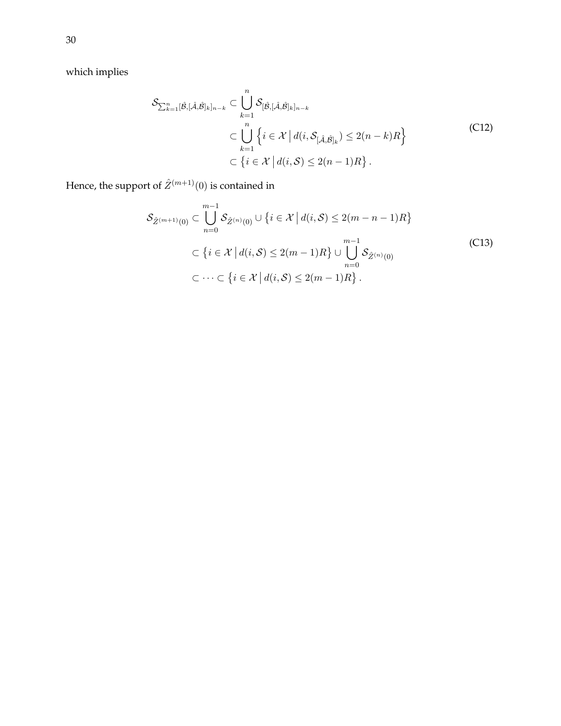which implies

$$
\mathcal{S}_{\sum_{k=1}^{n}[\hat{\beta},[\hat{\mathcal{A}},\hat{\beta}]_{k}]_{n-k}} \subset \bigcup_{k=1}^{n} \mathcal{S}_{[\hat{\mathcal{B}},[\hat{\mathcal{A}},\hat{\mathcal{B}}]_{k}]_{n-k}} \subset \bigcup_{k=1}^{n} \left\{ i \in \mathcal{X} \mid d(i,\mathcal{S}_{[\hat{\mathcal{A}},\hat{\mathcal{B}}]_{k}}) \leq 2(n-k)R \right\} \subset \left\{ i \in \mathcal{X} \mid d(i,\mathcal{S}) \leq 2(n-1)R \right\}.
$$
\n
$$
(C12)
$$

Hence, the support of  $\hat{Z}^{(m+1)}(0)$  is contained in

$$
\mathcal{S}_{\hat{Z}^{(m+1)}(0)} \subset \bigcup_{n=0}^{m-1} \mathcal{S}_{\hat{Z}^{(n)}(0)} \cup \{i \in \mathcal{X} \mid d(i, S) \le 2(m - n - 1)R\}
$$
\n
$$
\subset \{i \in \mathcal{X} \mid d(i, S) \le 2(m - 1)R\} \cup \bigcup_{n=0}^{m-1} \mathcal{S}_{\hat{Z}^{(n)}(0)}
$$
\n
$$
\subset \cdots \subset \{i \in \mathcal{X} \mid d(i, S) \le 2(m - 1)R\}.
$$
\n(C13)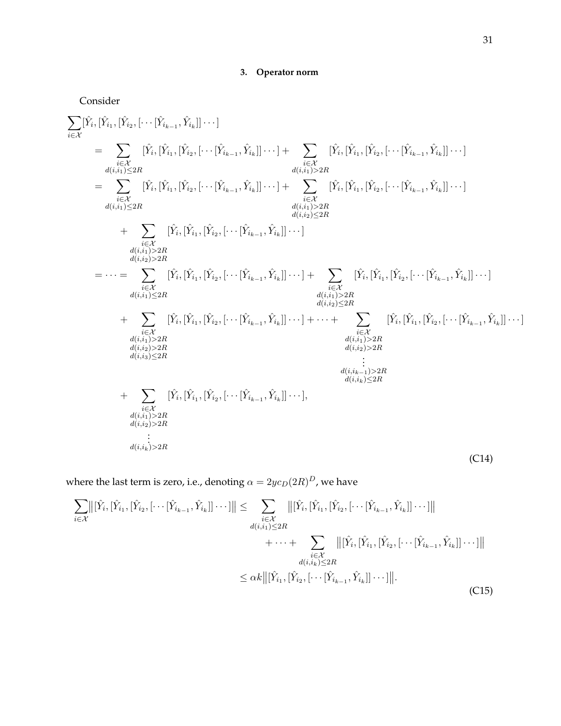# **3. Operator norm**

Consider

$$
\sum_{i \in \mathcal{X}} [\hat{Y}_{i}, [\hat{Y}_{i_{2}},[\cdots[\hat{Y}_{i_{k-1}},\hat{Y}_{i_{k}}]]\cdots] \n= \sum_{\substack{i \in \mathcal{X} \\ d(i,i_{1}) \leq 2R}} [\hat{Y}_{i}, [\hat{Y}_{i_{2}},[\hat{Y}_{i_{2}},[\cdots[\hat{Y}_{i_{k-1}},\hat{Y}_{i_{k}}]]\cdots] + \sum_{\substack{i \in \mathcal{X} \\ d(i,i_{1}) > 2R}} [\hat{Y}_{i}, [\hat{Y}_{i_{1}},[\hat{Y}_{i_{2}},[\cdots[\hat{Y}_{i_{k-1}},\hat{Y}_{i_{k}}]]\cdots] + \sum_{\substack{d(i_{i},i_{1}) > 2R \\ d(i,i_{1}) > 2R}} [\hat{Y}_{i},[\hat{Y}_{i_{1}},[\hat{Y}_{i_{2}},[\cdots[\hat{Y}_{i_{k-1}},\hat{Y}_{i_{k}}]]\cdots] + \sum_{\substack{d(i_{i},i_{k}) \leq 2R \\ d(i,i_{1}) > 2R}} [\hat{Y}_{i},[\hat{Y}_{i_{1}},[\hat{Y}_{i_{2}},[\cdots[\hat{Y}_{i_{k-1}},\hat{Y}_{i_{k}}]]\cdots] + \sum_{\substack{d(i_{i},i_{k}) \leq 2R \\ d(i,i_{k}) > 2R}} [\hat{Y}_{i},[\hat{Y}_{i_{1}},[\hat{Y}_{i_{2}},[\cdots[\hat{Y}_{i_{k-1}},\hat{Y}_{i_{k}}]]\cdots] + \sum_{\substack{i \in \mathcal{X} \\ d(i,i_{1}) > 2R \\ d(i,i_{1}) > 2R}} [\hat{Y}_{i},[\hat{Y}_{i_{1}},[\hat{Y}_{i_{2}},[\cdots[\hat{Y}_{i_{k-1}},\hat{Y}_{i_{k}}]]\cdots] + \sum_{\substack{i \in \mathcal{X} \\ d(i,i_{1}) > 2R \\ d(i,i_{1}) > 2R}} [\hat{Y}_{i},[\hat{Y}_{i_{1}},[\hat{Y}_{i_{2}},[\cdots[\hat{Y}_{i_{k-1}},\hat{Y}_{i_{k}}]]\cdots] + \cdots + \sum_{\substack{i \in \mathcal{X} \\ d(i,i_{1}) > 2R \\ d(i,i_{2}) \leq 2R}} [\hat{Y}_{i},[\hat{Y}_{i_{1}},[\hat{Y}_{i_{2}},[\cdots[\hat{Y}_{i_{k-1}},\hat{Y}_{i
$$

where the last term is zero, i.e., denoting  $\alpha = 2yc_D(2R)^D$ , we have

$$
\sum_{i \in \mathcal{X}} ||[\hat{Y}_{i}, [\hat{Y}_{i_{1}}, [\hat{Y}_{i_{2}}, [\cdots[\hat{Y}_{i_{k-1}}, \hat{Y}_{i_{k}}]] \cdots]]|| \leq \sum_{\substack{i \in \mathcal{X} \\ d(i,i_{1}) \leq 2R}} ||[\hat{Y}_{i}, [\hat{Y}_{i_{1}}, [\hat{Y}_{i_{2}}, [\cdots[\hat{Y}_{i_{k-1}}, \hat{Y}_{i_{k}}]] \cdots]]||
$$
  

$$
+ \cdots + \sum_{\substack{i \in \mathcal{X} \\ d(i,i_{k}) \leq 2R}} ||[\hat{Y}_{i}, [\hat{Y}_{i_{1}}, [\hat{Y}_{i_{2}}, [\cdots[\hat{Y}_{i_{k-1}}, \hat{Y}_{i_{k}}]] \cdots]]||
$$
  

$$
\leq \alpha k ||[\hat{Y}_{i_{1}}, [\hat{Y}_{i_{2}}, [\cdots[\hat{Y}_{i_{k-1}}, \hat{Y}_{i_{k}}]] \cdots]]||.
$$
\n(C15)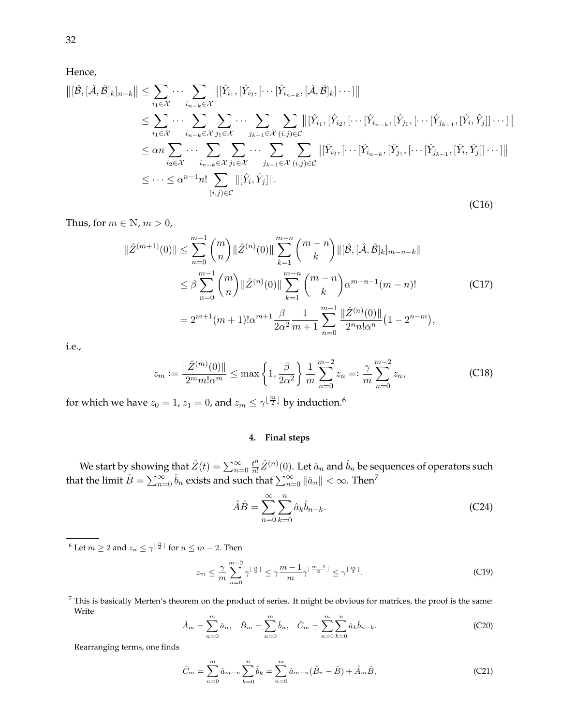Hence,

$$
\|[\hat{\mathcal{B}},[\hat{\mathcal{A}},\hat{\mathcal{B}}]_k]_{n-k}\| \leq \sum_{i_1 \in \mathcal{X}} \cdots \sum_{i_{n-k} \in \mathcal{X}} \left\|[\hat{Y}_{i_1},[\hat{Y}_{i_2},[\cdots[\hat{Y}_{i_{n-k}},[\hat{\mathcal{A}},\hat{\mathcal{B}}]_k]\cdots]]\right\|
$$
  
\n
$$
\leq \sum_{i_1 \in \mathcal{X}} \cdots \sum_{i_{n-k} \in \mathcal{X}} \sum_{j_1 \in \mathcal{X}} \cdots \sum_{j_{k-1} \in \mathcal{X}} \sum_{(i,j) \in \mathcal{C}} \left\|[\hat{Y}_{i_1},[\hat{Y}_{i_2},[\cdots[\hat{Y}_{i_{n-k}},[\hat{Y}_{j_1},[\cdots[\hat{Y}_{j_{k-1}},[\hat{Y}_i,\hat{Y}_j]]\cdots]]]\right\|
$$
  
\n
$$
\leq \alpha n \sum_{i_2 \in \mathcal{X}} \cdots \sum_{i_{n-k} \in \mathcal{X}} \sum_{j_1 \in \mathcal{X}} \cdots \sum_{j_{k-1} \in \mathcal{X}} \sum_{(i,j) \in \mathcal{C}} \left\|[\hat{Y}_{i_2},[\cdots[\hat{Y}_{i_{n-k}},[\hat{Y}_{j_1},[\cdots[\hat{Y}_{j_{k-1}},[\hat{Y}_i,\hat{Y}_j]]\cdots]]]\right\|
$$
  
\n
$$
\leq \cdots \leq \alpha^{n-1} n! \sum_{(i,j) \in \mathcal{C}} \|[\hat{Y}_i,\hat{Y}_j]\|.
$$
 (C16)

Thus, for  $m \in \mathbb{N}$ ,  $m > 0$ ,

$$
\|\hat{Z}^{(m+1)}(0)\| \leq \sum_{n=0}^{m-1} {m \choose n} \|\hat{Z}^{(n)}(0)\| \sum_{k=1}^{m-n} {m-n \choose k} \|[\hat{B}, [\hat{A}, \hat{B}]_k]_{m-n-k} \|
$$
  

$$
\leq \beta \sum_{n=0}^{m-1} {m \choose n} \|\hat{Z}^{(n)}(0)\| \sum_{k=1}^{m-n} {m-n \choose k} \alpha^{m-n-1} (m-n)! \qquad (C17)
$$
  

$$
= 2^{m+1} (m+1)! \alpha^{m+1} \frac{\beta}{2\alpha^2} \frac{1}{m+1} \sum_{n=0}^{m-1} \frac{\|\hat{Z}^{(n)}(0)\|}{2^n n! \alpha^n} (1 - 2^{n-m}),
$$

i.e.,

$$
z_m := \frac{\|\hat{Z}^{(m)}(0)\|}{2^m m! \alpha^m} \le \max\left\{1, \frac{\beta}{2\alpha^2}\right\} \frac{1}{m} \sum_{n=0}^{m-2} z_n =: \frac{\gamma}{m} \sum_{n=0}^{m-2} z_n,
$$
 (C18)

for which we have  $z_0=1$ ,  $z_1=0$ , and  $z_m\leq \gamma^{\lfloor \frac{m}{2}\rfloor}$  by induction.<sup>6</sup>

### **4. Final steps**

We start by showing that  $\hat{Z}(t) = \sum_{n=0}^{\infty} \frac{t^n}{n!}$  $\frac{t^n}{n!} \hat{Z}^{(n)}(0).$  Let  $\hat{a}_n$  and  $\hat{b}_n$  be sequences of operators such that the limit  $\hat{B}=\sum_{n=0}^\infty \hat{b}_n$  exists and such that  $\sum_{n=0}^\infty \|\hat{a}_n\|<\infty.$  Then<sup>7</sup>

$$
\hat{A}\hat{B} = \sum_{n=0}^{\infty} \sum_{k=0}^{n} \hat{a}_k \hat{b}_{n-k}.
$$
 (C24)

<sup>6</sup> Let  $m \geq 2$  and  $z_n \leq \gamma^{\lfloor \frac{n}{2} \rfloor}$  for  $n \leq m-2$ . Then

$$
z_m \leq \frac{\gamma}{m} \sum_{n=0}^{m-2} \gamma^{\lfloor \frac{n}{2} \rfloor} \leq \gamma \frac{m-1}{m} \gamma^{\lfloor \frac{m-2}{2} \rfloor} \leq \gamma^{\lfloor \frac{m}{2} \rfloor}.
$$
 (C19)

 $<sup>7</sup>$  This is basically Merten's theorem on the product of series. It might be obvious for matrices, the proof is the same:</sup> Write

$$
\hat{A}_m = \sum_{n=0}^m \hat{a}_n, \quad \hat{B}_m = \sum_{n=0}^m \hat{b}_n, \quad \hat{C}_m = \sum_{n=0}^m \sum_{k=0}^n \hat{a}_k \hat{b}_{n-k}.
$$
 (C20)

Rearranging terms, one finds

$$
\hat{C}_m = \sum_{n=0}^m \hat{a}_{m-n} \sum_{k=0}^n \hat{b}_k = \sum_{n=0}^m \hat{a}_{m-n} (\hat{B}_n - \hat{B}) + \hat{A}_m \hat{B},
$$
\n(C21)